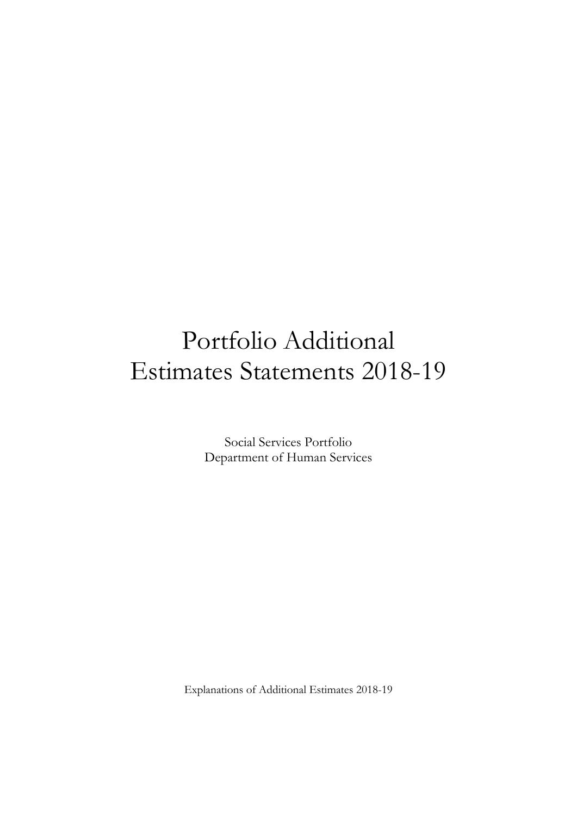# Portfolio Additional Estimates Statements 2018-19

Social Services Portfolio Department of Human Services

Explanations of Additional Estimates 2018-19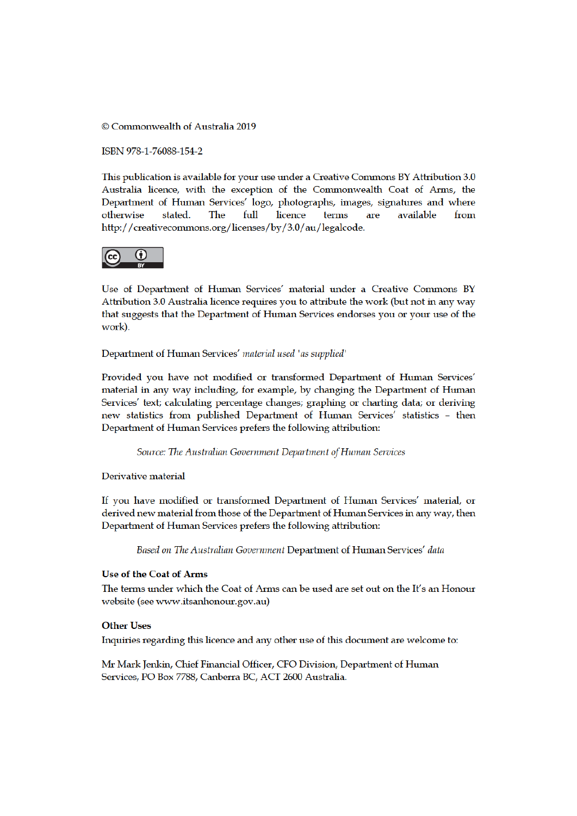© Commonwealth of Australia 2019

ISBN 978-1-76088-154-2

This publication is available for your use under a Creative Commons BY Attribution 3.0 Australia licence, with the exception of the Commonwealth Coat of Arms, the Department of Human Services' logo, photographs, images, signatures and where available otherwise stated. The full licence terms are from http://creativecommons.org/licenses/by/3.0/au/legalcode.



Use of Department of Human Services' material under a Creative Commons BY Attribution 3.0 Australia licence requires you to attribute the work (but not in any way that suggests that the Department of Human Services endorses you or your use of the work).

Department of Human Services' material used 'as supplied'

Provided you have not modified or transformed Department of Human Services' material in any way including, for example, by changing the Department of Human Services' text; calculating percentage changes; graphing or charting data; or deriving new statistics from published Department of Human Services' statistics - then Department of Human Services prefers the following attribution:

Source: The Australian Government Department of Human Services

Derivative material

If you have modified or transformed Department of Human Services' material, or derived new material from those of the Department of Human Services in any way, then Department of Human Services prefers the following attribution:

Based on The Australian Government Department of Human Services' data

## **Use of the Coat of Arms**

The terms under which the Coat of Arms can be used are set out on the It's an Honour website (see www.itsanhonour.gov.au)

### **Other Uses**

Inquiries regarding this licence and any other use of this document are welcome to:

Mr Mark Jenkin, Chief Financial Officer, CFO Division, Department of Human Services, PO Box 7788, Canberra BC, ACT 2600 Australia.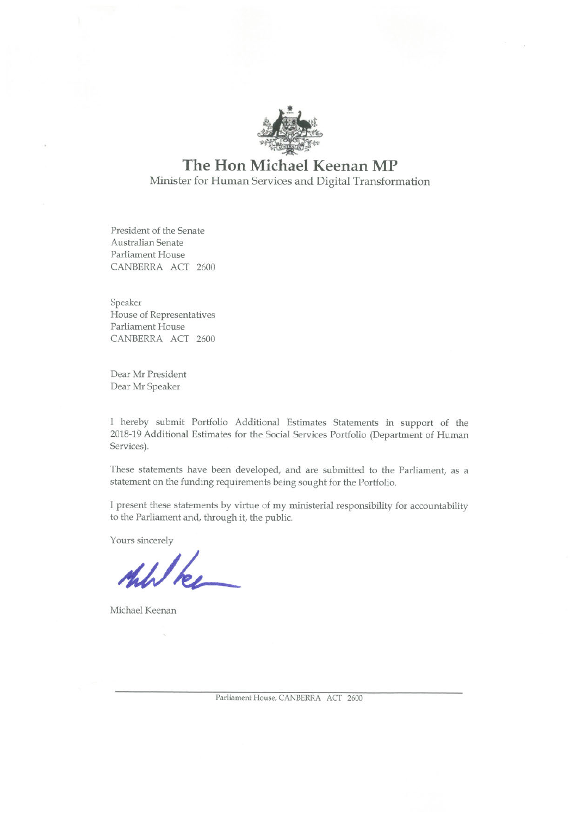

## The Hon Michael Keenan MP Minister for Human Services and Digital Transformation

President of the Senate Australian Senate Parliament House CANBERRA ACT 2600

Speaker House of Representatives Parliament House CANBERRA ACT 2600

Dear Mr President Dear Mr Speaker

I hereby submit Portfolio Additional Estimates Statements in support of the 2018-19 Additional Estimates for the Social Services Portfolio (Department of Human Services).

These statements have been developed, and are submitted to the Parliament, as a statement on the funding requirements being sought for the Portfolio.

I present these statements by virtue of my ministerial responsibility for accountability to the Parliament and, through it, the public.

Yours sincerely

Michael Keenan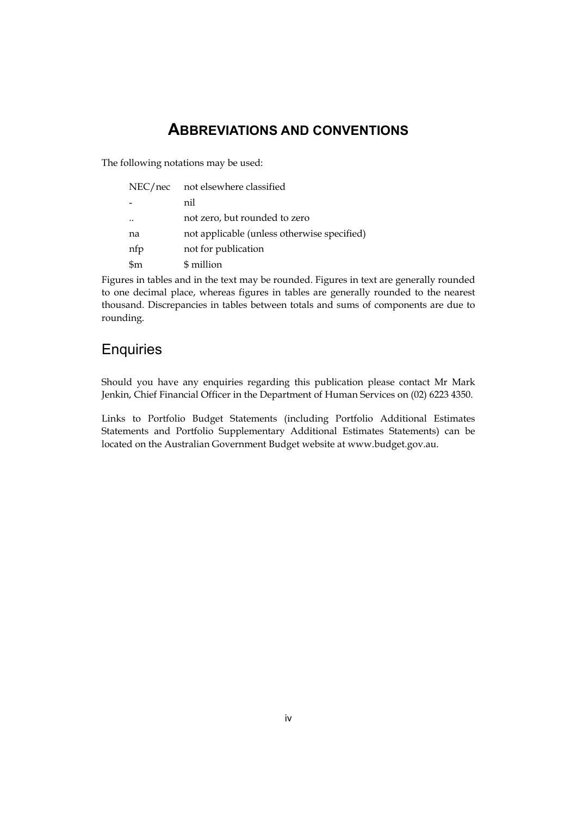## **ABBREVIATIONS AND CONVENTIONS**

The following notations may be used:

| NEC/nec   | not elsewhere classified                    |
|-----------|---------------------------------------------|
|           | nil                                         |
| $\ddotsc$ | not zero, but rounded to zero               |
| na        | not applicable (unless otherwise specified) |
| nfp       | not for publication                         |
| \$m       | \$ million                                  |

Figures in tables and in the text may be rounded. Figures in text are generally rounded to one decimal place, whereas figures in tables are generally rounded to the nearest thousand. Discrepancies in tables between totals and sums of components are due to rounding.

## **Enquiries**

Should you have any enquiries regarding this publication please contact Mr Mark Jenkin, Chief Financial Officer in the Department of Human Services on (02) 6223 4350.

Links to Portfolio Budget Statements (including Portfolio Additional Estimates Statements and Portfolio Supplementary Additional Estimates Statements) can be located on the Australian Government Budget website at www.budget.gov.au.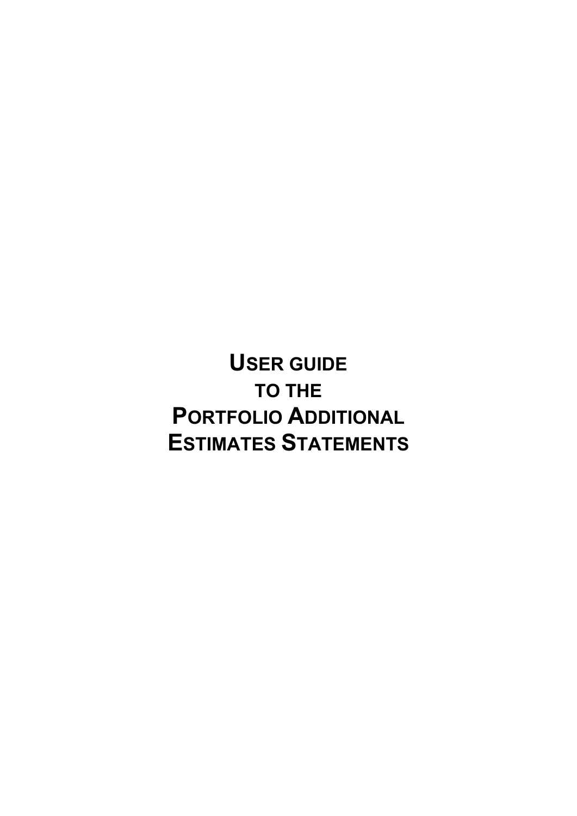**USER GUIDE TO THE PORTFOLIO ADDITIONAL ESTIMATES STATEMENTS**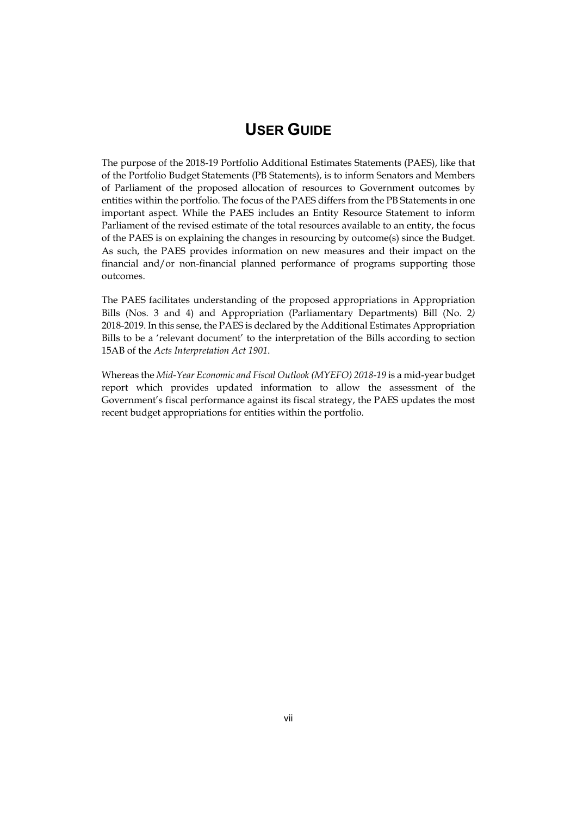## **USER GUIDE**

The purpose of the 2018-19 Portfolio Additional Estimates Statements (PAES), like that of the Portfolio Budget Statements (PB Statements), is to inform Senators and Members of Parliament of the proposed allocation of resources to Government outcomes by entities within the portfolio. The focus of the PAES differs from the PB Statements in one important aspect. While the PAES includes an Entity Resource Statement to inform Parliament of the revised estimate of the total resources available to an entity, the focus of the PAES is on explaining the changes in resourcing by outcome(s) since the Budget. As such, the PAES provides information on new measures and their impact on the financial and/or non-financial planned performance of programs supporting those outcomes.

The PAES facilitates understanding of the proposed appropriations in Appropriation Bills (Nos. 3 and 4) and Appropriation (Parliamentary Departments) Bill (No. 2*)*  2018-2019. In this sense, the PAES is declared by the Additional Estimates Appropriation Bills to be a 'relevant document' to the interpretation of the Bills according to section 15AB of the *Acts Interpretation Act 1901*.

Whereas the *Mid-Year Economic and Fiscal Outlook (MYEFO) 2018-19* is a mid-year budget report which provides updated information to allow the assessment of the Government's fiscal performance against its fiscal strategy, the PAES updates the most recent budget appropriations for entities within the portfolio.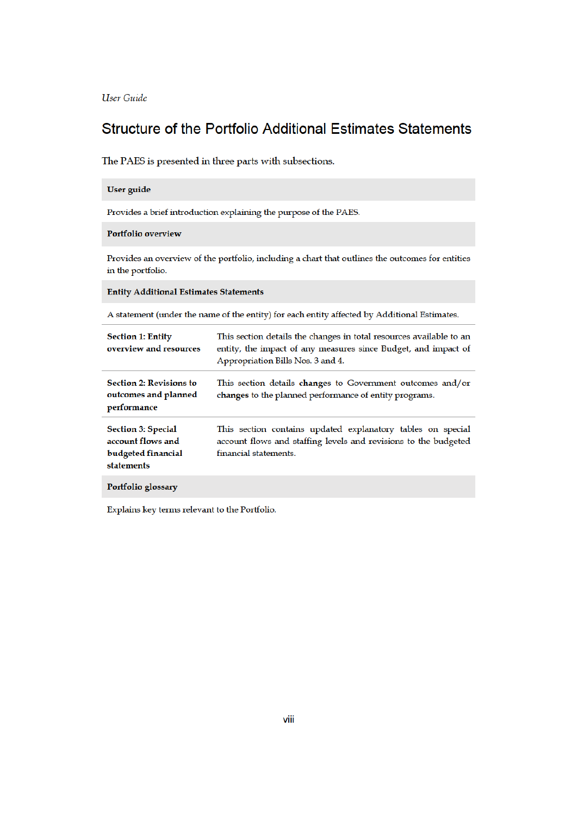User Guide

## Structure of the Portfolio Additional Estimates Statements

The PAES is presented in three parts with subsections.

## User guide

Provides a brief introduction explaining the purpose of the PAES.

### Portfolio overview

Provides an overview of the portfolio, including a chart that outlines the outcomes for entities in the portfolio.

**Entity Additional Estimates Statements** 

A statement (under the name of the entity) for each entity affected by Additional Estimates.

| <b>Section 1: Entity</b><br>overview and resources                                 | This section details the changes in total resources available to an<br>entity, the impact of any measures since Budget, and impact of<br>Appropriation Bills Nos. 3 and 4. |
|------------------------------------------------------------------------------------|----------------------------------------------------------------------------------------------------------------------------------------------------------------------------|
| <b>Section 2: Revisions to</b><br>outcomes and planned<br>performance              | This section details changes to Government outcomes and/or<br>changes to the planned performance of entity programs.                                                       |
| <b>Section 3: Special</b><br>account flows and<br>budgeted financial<br>statements | This section contains updated explanatory tables on special<br>account flows and staffing levels and revisions to the budgeted<br>financial statements.                    |
| Portfolio glossary                                                                 |                                                                                                                                                                            |

Explains key terms relevant to the Portfolio.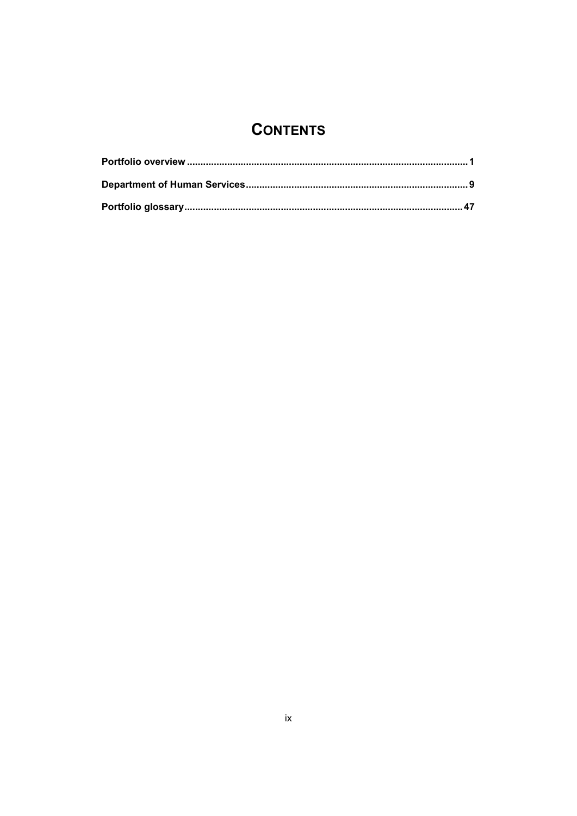## **CONTENTS**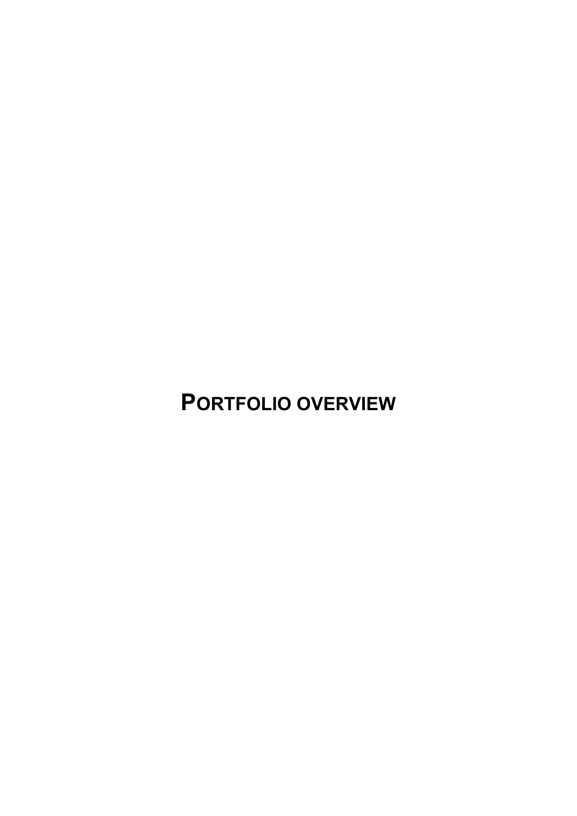**PORTFOLIO OVERVIEW**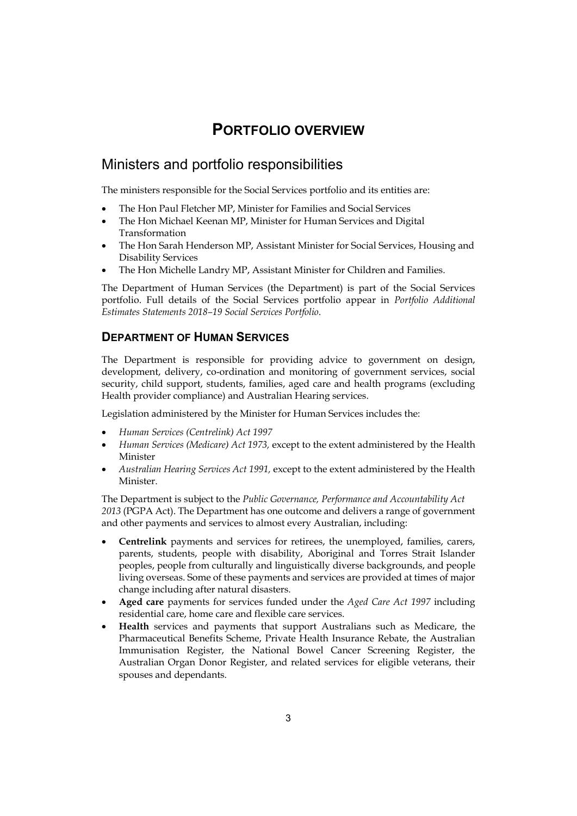## **PORTFOLIO OVERVIEW**

## Ministers and portfolio responsibilities

The ministers responsible for the Social Services portfolio and its entities are:

- The Hon Paul Fletcher MP, Minister for Families and Social Services
- The Hon Michael Keenan MP, Minister for Human Services and Digital Transformation
- The Hon Sarah Henderson MP, Assistant Minister for Social Services, Housing and Disability Services
- The Hon Michelle Landry MP, Assistant Minister for Children and Families.

The Department of Human Services (the Department) is part of the Social Services portfolio. Full details of the Social Services portfolio appear in *Portfolio Additional Estimates Statements 2018–19 Social Services Portfolio*.

## **DEPARTMENT OF HUMAN SERVICES**

The Department is responsible for providing advice to government on design, development, delivery, co-ordination and monitoring of government services, social security, child support, students, families, aged care and health programs (excluding Health provider compliance) and Australian Hearing services.

Legislation administered by the Minister for Human Services includes the:

- *Human Services (Centrelink) Act 1997*
- *Human Services (Medicare) Act 1973,* except to the extent administered by the Health Minister
- *Australian Hearing Services Act 1991,* except to the extent administered by the Health Minister.

The Department is subject to the *Public Governance, Performance and Accountability Act 2013* (PGPA Act). The Department has one outcome and delivers a range of government and other payments and services to almost every Australian, including:

- **Centrelink** payments and services for retirees, the unemployed, families, carers, parents, students, people with disability, Aboriginal and Torres Strait Islander peoples, people from culturally and linguistically diverse backgrounds, and people living overseas. Some of these payments and services are provided at times of major change including after natural disasters.
- **Aged care** payments for services funded under the *Aged Care Act 1997* including residential care, home care and flexible care services.
- **Health** services and payments that support Australians such as Medicare, the Pharmaceutical Benefits Scheme, Private Health Insurance Rebate, the Australian Immunisation Register, the National Bowel Cancer Screening Register, the Australian Organ Donor Register, and related services for eligible veterans, their spouses and dependants.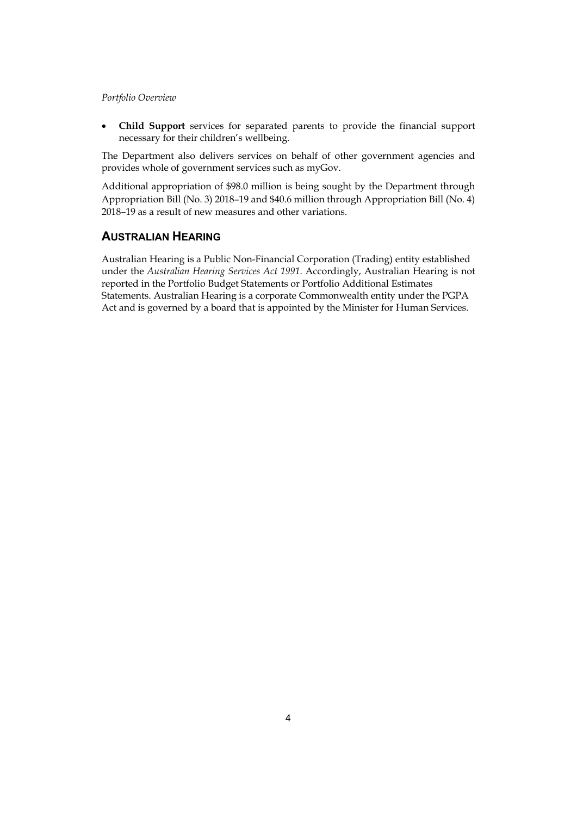*Portfolio Overview* 

 **Child Support** services for separated parents to provide the financial support necessary for their children's wellbeing.

The Department also delivers services on behalf of other government agencies and provides whole of government services such as myGov.

Additional appropriation of \$98.0 million is being sought by the Department through Appropriation Bill (No. 3) 2018–19 and \$40.6 million through Appropriation Bill (No. 4) 2018–19 as a result of new measures and other variations.

## **AUSTRALIAN HEARING**

Australian Hearing is a Public Non-Financial Corporation (Trading) entity established under the *Australian Hearing Services Act 1991*. Accordingly, Australian Hearing is not reported in the Portfolio Budget Statements or Portfolio Additional Estimates Statements. Australian Hearing is a corporate Commonwealth entity under the PGPA Act and is governed by a board that is appointed by the Minister for Human Services.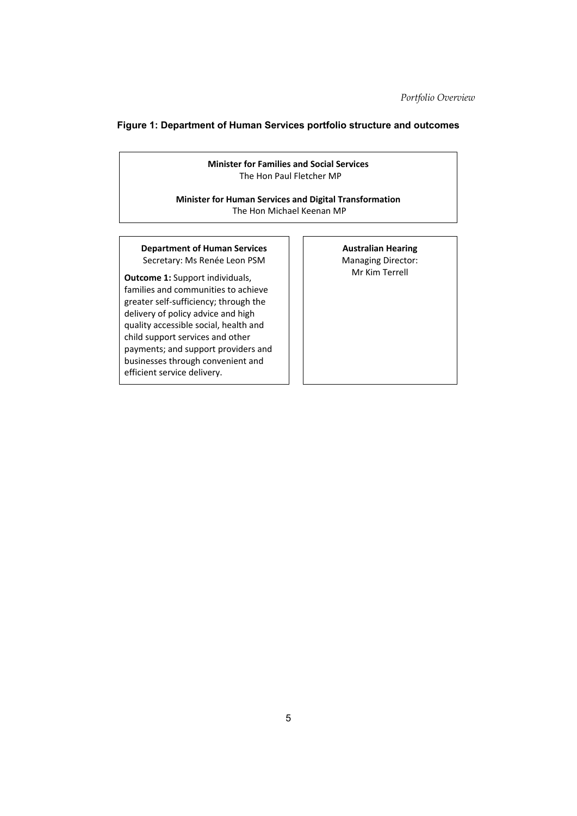## **Figure 1: Department of Human Services portfolio structure and outcomes**

**Minister for Families and Social Services**  The Hon Paul Fletcher MP

**Minister for Human Services and Digital Transformation** The Hon Michael Keenan MP

## **Department of Human Services** Secretary: Ms Renée Leon PSM

**Outcome 1:** Support individuals, families and communities to achieve greater self‐sufficiency; through the delivery of policy advice and high quality accessible social, health and child support services and other payments; and support providers and businesses through convenient and efficient service delivery.

### **Australian Hearing**  Managing Director: Mr Kim Terrell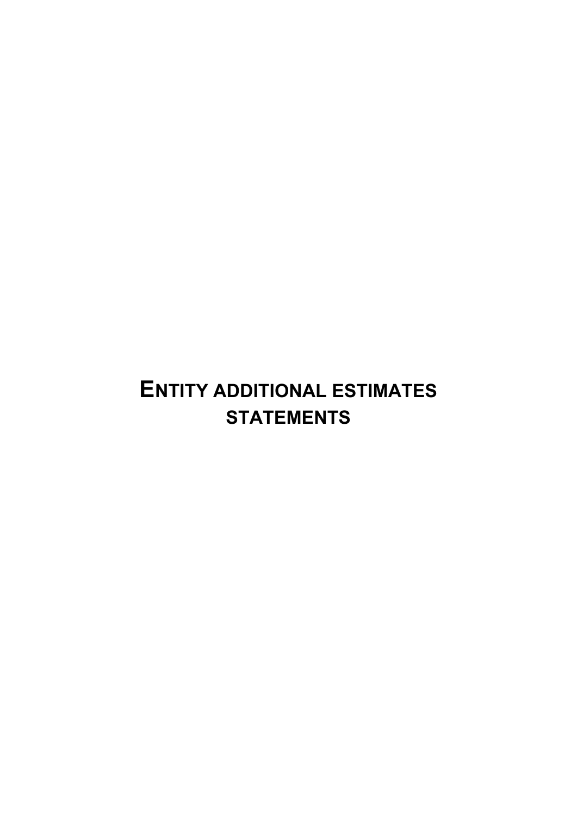# **ENTITY ADDITIONAL ESTIMATES STATEMENTS**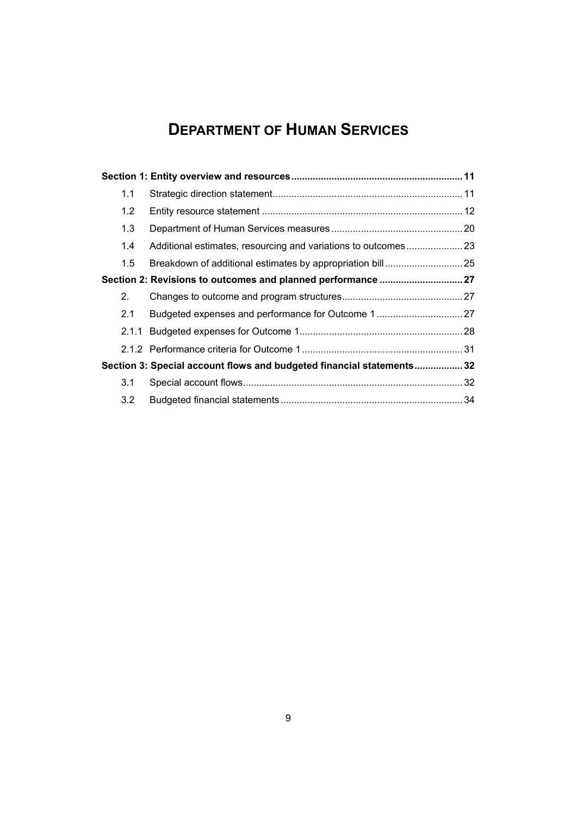# **DEPARTMENT OF HUMAN SERVICES**

| 1.1 |                                                                       |  |
|-----|-----------------------------------------------------------------------|--|
| 1.2 |                                                                       |  |
| 1.3 |                                                                       |  |
| 1.4 | Additional estimates, resourcing and variations to outcomes23         |  |
| 1.5 |                                                                       |  |
|     | Section 2: Revisions to outcomes and planned performance  27          |  |
| 2.  |                                                                       |  |
| 2.1 | Budgeted expenses and performance for Outcome 1 27                    |  |
|     |                                                                       |  |
|     |                                                                       |  |
|     | Section 3: Special account flows and budgeted financial statements 32 |  |
| 3.1 |                                                                       |  |
| 3.2 |                                                                       |  |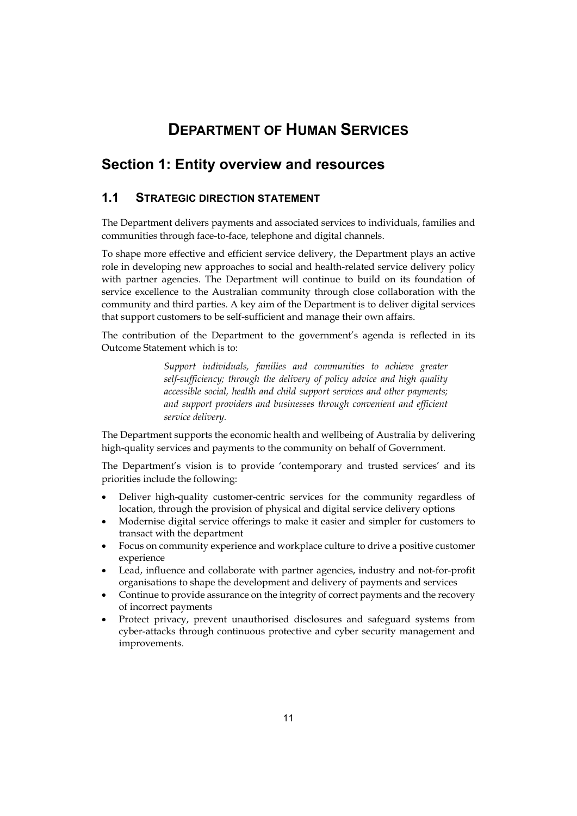## **DEPARTMENT OF HUMAN SERVICES**

## **Section 1: Entity overview and resources**

## **1.1 STRATEGIC DIRECTION STATEMENT**

The Department delivers payments and associated services to individuals, families and communities through face-to-face, telephone and digital channels.

To shape more effective and efficient service delivery, the Department plays an active role in developing new approaches to social and health-related service delivery policy with partner agencies. The Department will continue to build on its foundation of service excellence to the Australian community through close collaboration with the community and third parties. A key aim of the Department is to deliver digital services that support customers to be self-sufficient and manage their own affairs.

The contribution of the Department to the government's agenda is reflected in its Outcome Statement which is to:

> *Support individuals, families and communities to achieve greater self-sufficiency; through the delivery of policy advice and high quality accessible social, health and child support services and other payments; and support providers and businesses through convenient and efficient service delivery.*

The Department supports the economic health and wellbeing of Australia by delivering high-quality services and payments to the community on behalf of Government.

The Department's vision is to provide 'contemporary and trusted services' and its priorities include the following:

- Deliver high-quality customer-centric services for the community regardless of location, through the provision of physical and digital service delivery options
- Modernise digital service offerings to make it easier and simpler for customers to transact with the department
- Focus on community experience and workplace culture to drive a positive customer experience
- Lead, influence and collaborate with partner agencies, industry and not-for-profit organisations to shape the development and delivery of payments and services
- Continue to provide assurance on the integrity of correct payments and the recovery of incorrect payments
- Protect privacy, prevent unauthorised disclosures and safeguard systems from cyber-attacks through continuous protective and cyber security management and improvements.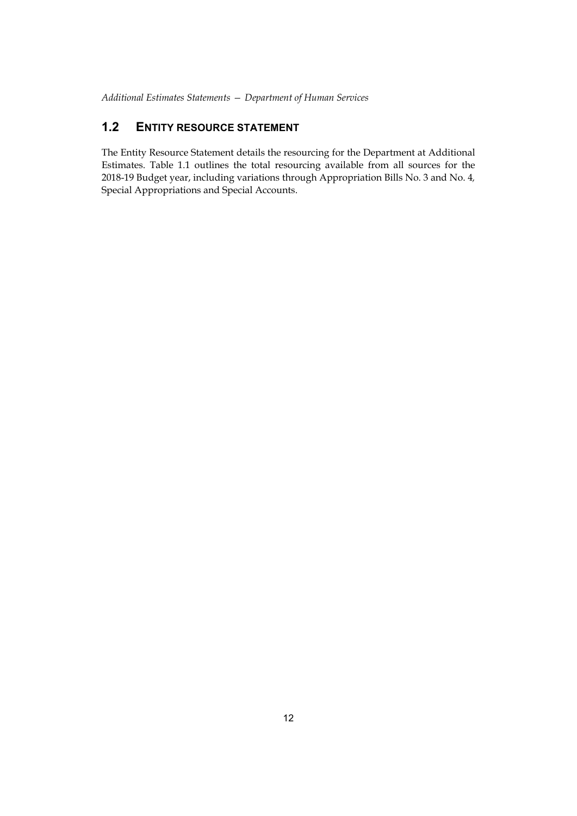## **1.2 ENTITY RESOURCE STATEMENT**

The Entity Resource Statement details the resourcing for the Department at Additional Estimates. Table 1.1 outlines the total resourcing available from all sources for the 2018-19 Budget year, including variations through Appropriation Bills No. 3 and No. 4*,* Special Appropriations and Special Accounts.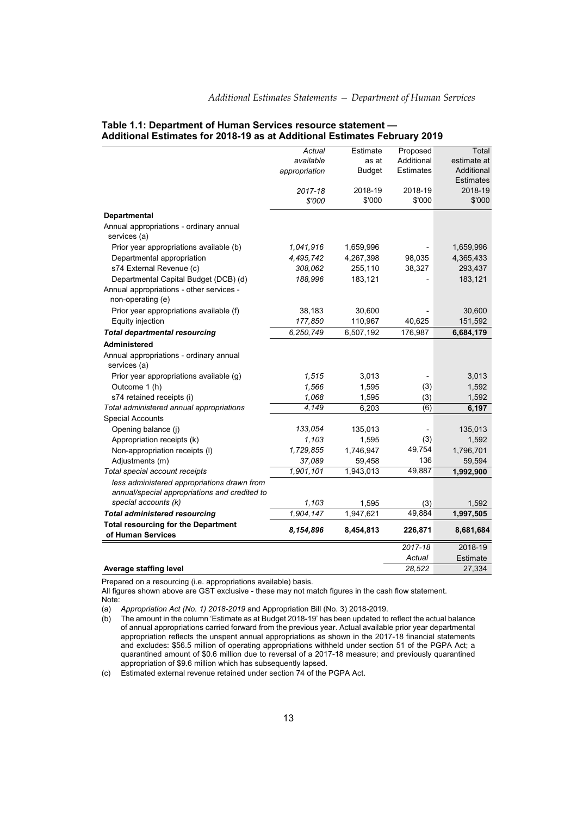|                                                                                              | Actual        | Estimate      | Proposed   | Total                          |
|----------------------------------------------------------------------------------------------|---------------|---------------|------------|--------------------------------|
|                                                                                              | available     | as at         | Additional | estimate at                    |
|                                                                                              | appropriation | <b>Budget</b> | Estimates  | Additional<br><b>Estimates</b> |
|                                                                                              | 2017-18       | 2018-19       | 2018-19    | 2018-19                        |
|                                                                                              | \$'000        | \$'000        | \$'000     | \$'000                         |
| <b>Departmental</b>                                                                          |               |               |            |                                |
| Annual appropriations - ordinary annual<br>services (a)                                      |               |               |            |                                |
| Prior year appropriations available (b)                                                      | 1.041.916     | 1,659,996     |            | 1,659,996                      |
| Departmental appropriation                                                                   | 4,495,742     | 4,267,398     | 98,035     | 4,365,433                      |
| s74 External Revenue (c)                                                                     | 308,062       | 255,110       | 38,327     | 293,437                        |
| Departmental Capital Budget (DCB) (d)                                                        | 188,996       | 183,121       |            | 183,121                        |
| Annual appropriations - other services -<br>non-operating (e)                                |               |               |            |                                |
| Prior year appropriations available (f)                                                      | 38,183        | 30,600        |            | 30,600                         |
| Equity injection                                                                             | 177,850       | 110,967       | 40,625     | 151,592                        |
| <b>Total departmental resourcing</b>                                                         | 6,250,749     | 6,507,192     | 176,987    | 6,684,179                      |
| Administered                                                                                 |               |               |            |                                |
| Annual appropriations - ordinary annual<br>services (a)                                      |               |               |            |                                |
| Prior year appropriations available (g)                                                      | 1,515         | 3,013         |            | 3,013                          |
| Outcome 1 (h)                                                                                | 1,566         | 1,595         | (3)        | 1,592                          |
| s74 retained receipts (i)                                                                    | 1,068         | 1,595         | (3)        | 1,592                          |
| Total administered annual appropriations                                                     | 4,149         | 6,203         | (6)        | 6,197                          |
| <b>Special Accounts</b>                                                                      |               |               |            |                                |
| Opening balance (j)                                                                          | 133,054       | 135,013       |            | 135,013                        |
| Appropriation receipts (k)                                                                   | 1,103         | 1,595         | (3)        | 1,592                          |
| Non-appropriation receipts (I)                                                               | 1,729,855     | 1,746,947     | 49,754     | 1,796,701                      |
| Adjustments (m)                                                                              | 37,089        | 59,458        | 136        | 59,594                         |
| Total special account receipts                                                               | 1,901,101     | 1,943,013     | 49,887     | 1,992,900                      |
| less administered appropriations drawn from<br>annual/special appropriations and credited to |               |               |            |                                |
| special accounts (k)                                                                         | 1,103         | 1,595         | (3)        | 1.592                          |
| <b>Total administered resourcing</b>                                                         | 1,904,147     | 1,947,621     | 49,884     | 1,997,505                      |
| <b>Total resourcing for the Department</b>                                                   |               |               |            |                                |
| of Human Services                                                                            | 8,154,896     | 8,454,813     | 226,871    | 8,681,684                      |
|                                                                                              |               |               | 2017-18    | 2018-19                        |
|                                                                                              |               |               | Actual     | Estimate                       |

## **Table 1.1: Department of Human Services resource statement — Additional Estimates for 2018-19 as at Additional Estimates February 2019**

**Average staffing level** 28,522 27,334

Prepared on a resourcing (i.e. appropriations available) basis.

All figures shown above are GST exclusive - these may not match figures in the cash flow statement. Note:

(a) *Appropriation Act (No. 1) 2018-2019* and Appropriation Bill (No. 3) 2018-2019.

(b) The amount in the column 'Estimate as at Budget 2018-19' has been updated to reflect the actual balance of annual appropriations carried forward from the previous year. Actual available prior year departmental appropriation reflects the unspent annual appropriations as shown in the 2017-18 financial statements and excludes: \$56.5 million of operating appropriations withheld under section 51 of the PGPA Act; a quarantined amount of \$0.6 million due to reversal of a 2017-18 measure; and previously quarantined appropriation of \$9.6 million which has subsequently lapsed.

(c) Estimated external revenue retained under section 74 of the PGPA Act.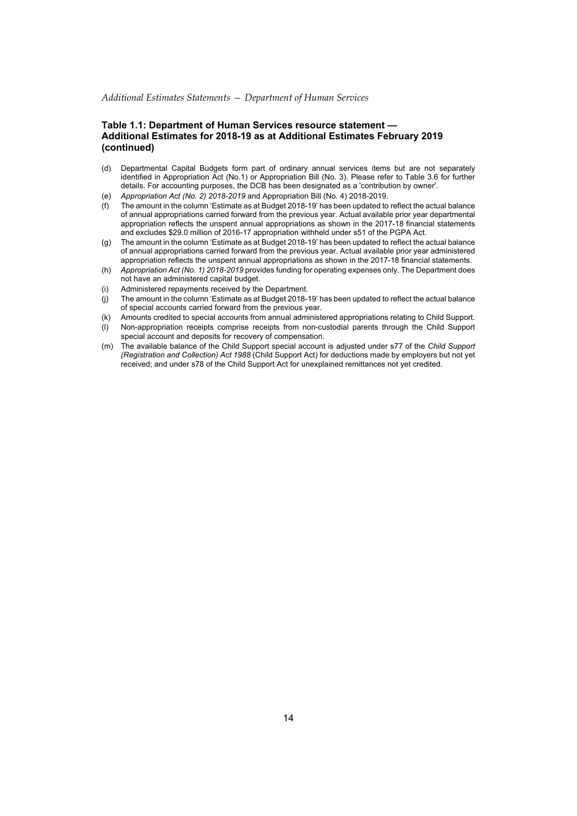### **Table 1.1: Department of Human Services resource statement — Additional Estimates for 2018-19 as at Additional Estimates February 2019 (continued)**

- (d) Departmental Capital Budgets form part of ordinary annual services items but are not separately identified in Appropriation Act (No.1) or Appropriation Bill (No. 3). Please refer to Table 3.6 for further details. For accounting purposes, the DCB has been designated as a 'contribution by owner'.
- (e) *Appropriation Act (No. 2) 2018-2019* and Appropriation Bill (No. 4) 2018-2019.
- (f) The amount in the column 'Estimate as at Budget 2018-19' has been updated to reflect the actual balance of annual appropriations carried forward from the previous year. Actual available prior year departmental appropriation reflects the unspent annual appropriations as shown in the 2017-18 financial statements and excludes \$29.0 million of 2016-17 appropriation withheld under s51 of the PGPA Act.
- (g) The amount in the column 'Estimate as at Budget 2018-19' has been updated to reflect the actual balance of annual appropriations carried forward from the previous year. Actual available prior year administered appropriation reflects the unspent annual appropriations as shown in the 2017-18 financial statements.
- (h) *Appropriation Act (No. 1) 2018-2019* provides funding for operating expenses only. The Department does not have an administered capital budget.
- (i) Administered repayments received by the Department.
- (j) The amount in the column 'Estimate as at Budget 2018-19' has been updated to reflect the actual balance of special accounts carried forward from the previous year.
- (k) Amounts credited to special accounts from annual administered appropriations relating to Child Support.
- (l) Non-appropriation receipts comprise receipts from non-custodial parents through the Child Support special account and deposits for recovery of compensation.
- (m) The available balance of the Child Support special account is adjusted under s77 of the *Child Support (Registration and Collection) Act 1988* (Child Support Act) for deductions made by employers but not yet received; and under s78 of the Child Support Act for unexplained remittances not yet credited.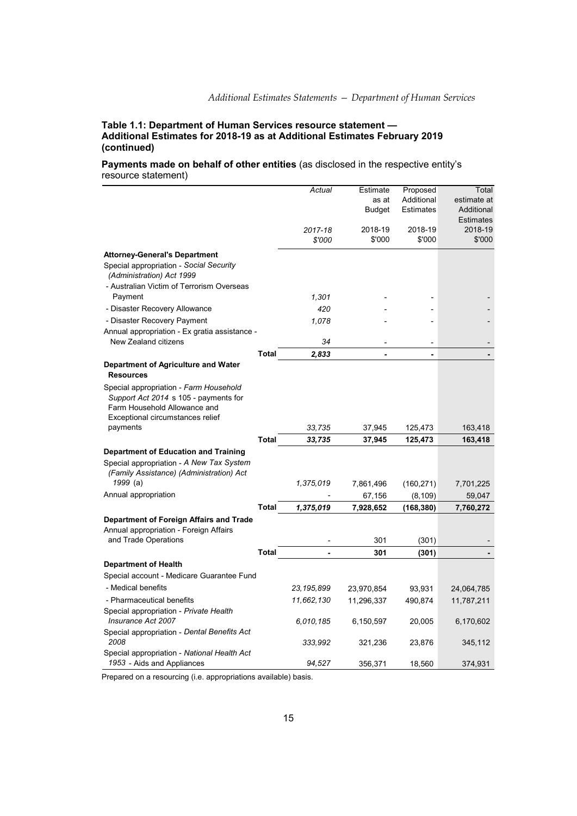### **Table 1.1: Department of Human Services resource statement — Additional Estimates for 2018-19 as at Additional Estimates February 2019 (continued)**

## **Payments made on behalf of other entities** (as disclosed in the respective entity's resource statement)

|                                                                                                                                                     |              | Actual         | Estimate      | Proposed   | Total            |
|-----------------------------------------------------------------------------------------------------------------------------------------------------|--------------|----------------|---------------|------------|------------------|
|                                                                                                                                                     |              |                | as at         | Additional | estimate at      |
|                                                                                                                                                     |              |                | <b>Budget</b> | Estimates  | Additional       |
|                                                                                                                                                     |              |                |               |            | <b>Estimates</b> |
|                                                                                                                                                     |              | 2017-18        | 2018-19       | 2018-19    | 2018-19          |
|                                                                                                                                                     |              | \$'000         | \$'000        | \$'000     | \$'000           |
| <b>Attorney-General's Department</b>                                                                                                                |              |                |               |            |                  |
| Special appropriation - Social Security<br>(Administration) Act 1999                                                                                |              |                |               |            |                  |
| - Australian Victim of Terrorism Overseas<br>Payment                                                                                                |              | 1,301          |               |            |                  |
| - Disaster Recovery Allowance                                                                                                                       |              | 420            |               |            |                  |
| - Disaster Recovery Payment                                                                                                                         |              | 1,078          |               |            |                  |
| Annual appropriation - Ex gratia assistance -                                                                                                       |              |                |               |            |                  |
| New Zealand citizens                                                                                                                                |              | 34             |               |            |                  |
|                                                                                                                                                     | <b>Total</b> | 2,833          | ÷             | ä,         |                  |
| Department of Agriculture and Water                                                                                                                 |              |                |               |            |                  |
| <b>Resources</b>                                                                                                                                    |              |                |               |            |                  |
| Special appropriation - Farm Household<br>Support Act 2014 s 105 - payments for<br>Farm Household Allowance and<br>Exceptional circumstances relief |              |                |               |            |                  |
| payments                                                                                                                                            |              | 33,735         | 37,945        | 125,473    | 163,418          |
|                                                                                                                                                     | <b>Total</b> | 33,735         | 37,945        | 125,473    | 163,418          |
| Department of Education and Training                                                                                                                |              |                |               |            |                  |
| Special appropriation - A New Tax System<br>(Family Assistance) (Administration) Act                                                                |              |                |               |            |                  |
| 1999 (a)                                                                                                                                            |              | 1,375,019      | 7,861,496     | (160, 271) | 7,701,225        |
| Annual appropriation                                                                                                                                |              |                | 67,156        | (8, 109)   | 59,047           |
|                                                                                                                                                     | <b>Total</b> | 1,375,019      | 7,928,652     | (168, 380) | 7,760,272        |
| Department of Foreign Affairs and Trade<br>Annual appropriation - Foreign Affairs                                                                   |              |                |               |            |                  |
| and Trade Operations                                                                                                                                |              |                | 301           | (301)      |                  |
|                                                                                                                                                     | Total        | $\overline{a}$ | 301           | (301)      |                  |
| <b>Department of Health</b>                                                                                                                         |              |                |               |            |                  |
| Special account - Medicare Guarantee Fund                                                                                                           |              |                |               |            |                  |
| - Medical benefits                                                                                                                                  |              | 23, 195, 899   | 23,970,854    | 93,931     | 24,064,785       |
| - Pharmaceutical benefits                                                                                                                           |              | 11,662,130     | 11,296,337    | 490,874    | 11,787,211       |
| Special appropriation - Private Health                                                                                                              |              |                |               |            |                  |
| Insurance Act 2007                                                                                                                                  |              | 6,010,185      | 6,150,597     | 20,005     | 6,170,602        |
| Special appropriation - Dental Benefits Act<br>2008                                                                                                 |              | 333,992        | 321,236       | 23,876     | 345,112          |
| Special appropriation - National Health Act<br>1953 - Aids and Appliances                                                                           |              | 94,527         | 356,371       | 18,560     | 374,931          |

Prepared on a resourcing (i.e. appropriations available) basis.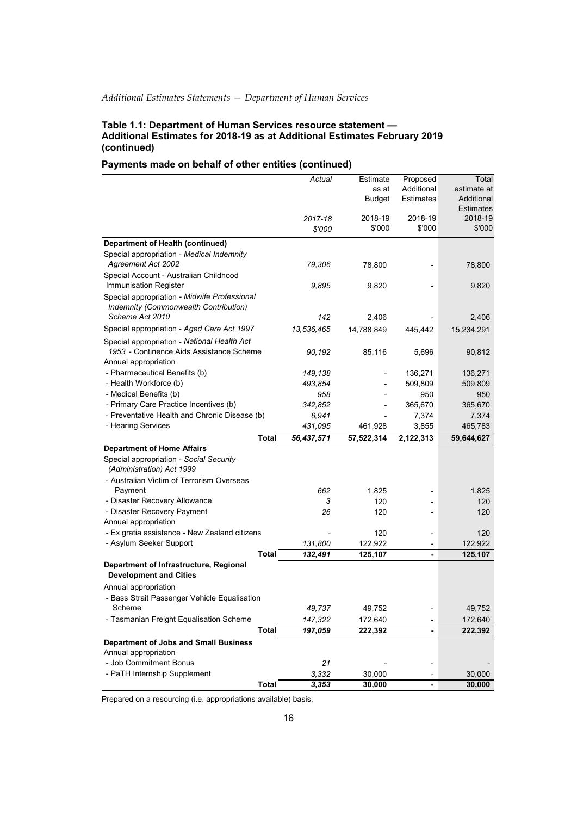### **Table 1.1: Department of Human Services resource statement — Additional Estimates for 2018-19 as at Additional Estimates February 2019 (continued)**

## **Payments made on behalf of other entities (continued)**

|                                                                      |              | Actual     | Estimate      | Proposed       | Total            |
|----------------------------------------------------------------------|--------------|------------|---------------|----------------|------------------|
|                                                                      |              |            | as at         | Additional     | estimate at      |
|                                                                      |              |            | <b>Budget</b> | Estimates      | Additional       |
|                                                                      |              |            |               |                | <b>Estimates</b> |
|                                                                      |              | 2017-18    | 2018-19       | 2018-19        | 2018-19          |
|                                                                      |              | \$'000     | \$'000        | \$'000         | \$'000           |
| <b>Department of Health (continued)</b>                              |              |            |               |                |                  |
| Special appropriation - Medical Indemnity                            |              |            |               |                |                  |
| <b>Agreement Act 2002</b>                                            |              | 79,306     | 78,800        |                | 78,800           |
| Special Account - Australian Childhood                               |              |            |               |                |                  |
| Immunisation Register                                                |              | 9,895      | 9,820         |                | 9,820            |
| Special appropriation - Midwife Professional                         |              |            |               |                |                  |
| Indemnity (Commonwealth Contribution)                                |              |            |               |                |                  |
| Scheme Act 2010                                                      |              | 142        | 2,406         |                | 2,406            |
| Special appropriation - Aged Care Act 1997                           |              | 13,536,465 | 14,788,849    | 445,442        | 15,234,291       |
| Special appropriation - National Health Act                          |              |            |               |                |                  |
| 1953 - Continence Aids Assistance Scheme                             |              | 90,192     | 85,116        | 5,696          | 90,812           |
| Annual appropriation                                                 |              |            |               |                |                  |
| - Pharmaceutical Benefits (b)                                        |              | 149,138    |               | 136,271        | 136,271          |
| - Health Workforce (b)                                               |              | 493,854    |               | 509,809        | 509,809          |
| - Medical Benefits (b)                                               |              | 958        |               | 950            | 950              |
| - Primary Care Practice Incentives (b)                               |              | 342,852    |               | 365,670        |                  |
| - Preventative Health and Chronic Disease (b)                        |              |            |               |                | 365,670          |
| - Hearing Services                                                   |              | 6,941      |               | 7,374          | 7,374            |
|                                                                      |              | 431,095    | 461,928       | 3,855          | 465,783          |
|                                                                      | Total        | 56,437,571 | 57,522,314    | 2,122,313      | 59,644,627       |
| <b>Department of Home Affairs</b>                                    |              |            |               |                |                  |
| Special appropriation - Social Security<br>(Administration) Act 1999 |              |            |               |                |                  |
| - Australian Victim of Terrorism Overseas                            |              |            |               |                |                  |
| Payment                                                              |              | 662        | 1,825         |                | 1,825            |
| - Disaster Recovery Allowance                                        |              | 3          | 120           |                | 120              |
| - Disaster Recovery Payment                                          |              | 26         | 120           |                | 120              |
| Annual appropriation                                                 |              |            |               |                |                  |
| - Ex gratia assistance - New Zealand citizens                        |              |            | 120           |                | 120              |
| - Asylum Seeker Support                                              |              | 131,800    | 122,922       |                | 122,922          |
|                                                                      | Total        | 132,491    | 125,107       | $\blacksquare$ | 125,107          |
| Department of Infrastructure, Regional                               |              |            |               |                |                  |
| <b>Development and Cities</b>                                        |              |            |               |                |                  |
| Annual appropriation                                                 |              |            |               |                |                  |
| - Bass Strait Passenger Vehicle Equalisation                         |              |            |               |                |                  |
| Scheme                                                               |              | 49,737     | 49,752        |                | 49,752           |
| - Tasmanian Freight Equalisation Scheme                              |              | 147,322    | 172,640       |                | 172,640          |
|                                                                      | <b>Total</b> | 197,059    | 222,392       | $\blacksquare$ | 222,392          |
| <b>Department of Jobs and Small Business</b>                         |              |            |               |                |                  |
| Annual appropriation                                                 |              |            |               |                |                  |
| - Job Commitment Bonus                                               |              | 21         |               |                |                  |
| - PaTH Internship Supplement                                         |              | 3,332      | 30,000        |                | 30,000           |
|                                                                      | <b>Total</b> | 3,353      | 30,000        |                | 30,000           |

Prepared on a resourcing (i.e. appropriations available) basis.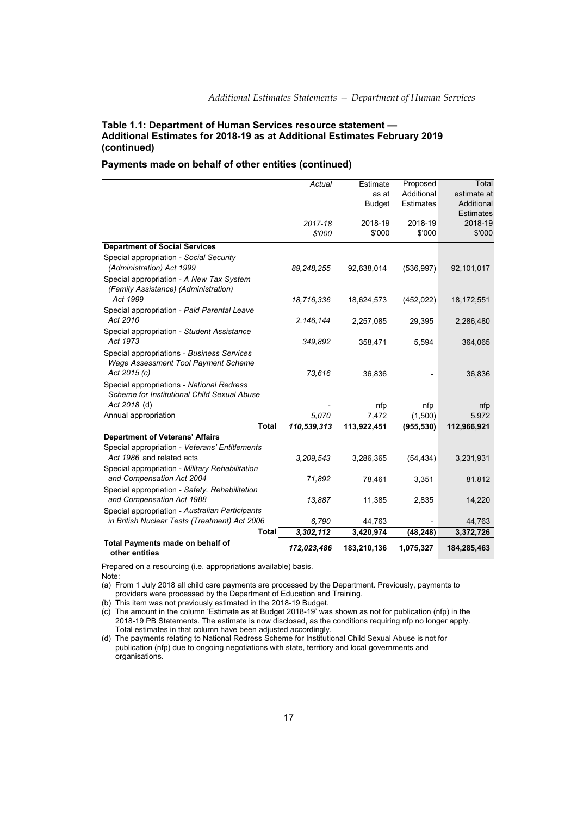## **Table 1.1: Department of Human Services resource statement — Additional Estimates for 2018-19 as at Additional Estimates February 2019 (continued)**

## **Payments made on behalf of other entities (continued)**

|                                                                                  | Actual            | Estimate          | Proposed   | Total                       |
|----------------------------------------------------------------------------------|-------------------|-------------------|------------|-----------------------------|
|                                                                                  |                   | as at             | Additional | estimate at                 |
|                                                                                  |                   | <b>Budget</b>     | Estimates  | Additional                  |
|                                                                                  |                   |                   | 2018-19    | <b>Estimates</b><br>2018-19 |
|                                                                                  | 2017-18<br>\$'000 | 2018-19<br>\$'000 | \$'000     | \$'000                      |
|                                                                                  |                   |                   |            |                             |
| <b>Department of Social Services</b>                                             |                   |                   |            |                             |
| Special appropriation - Social Security                                          |                   |                   |            |                             |
| (Administration) Act 1999                                                        | 89, 248, 255      | 92,638,014        | (536, 997) | 92,101,017                  |
| Special appropriation - A New Tax System<br>(Family Assistance) (Administration) |                   |                   |            |                             |
| Act 1999                                                                         | 18,716,336        | 18,624,573        | (452, 022) | 18,172,551                  |
| Special appropriation - Paid Parental Leave                                      |                   |                   |            |                             |
| Act 2010                                                                         | 2,146,144         | 2,257,085         | 29,395     | 2,286,480                   |
| Special appropriation - Student Assistance                                       |                   |                   |            |                             |
| Act 1973                                                                         | 349,892           | 358,471           | 5,594      | 364,065                     |
| Special appropriations - Business Services                                       |                   |                   |            |                             |
| Wage Assessment Tool Payment Scheme                                              |                   |                   |            |                             |
| Act 2015 (c)                                                                     | 73,616            | 36,836            |            | 36,836                      |
| Special appropriations - National Redress                                        |                   |                   |            |                             |
| Scheme for Institutional Child Sexual Abuse                                      |                   |                   |            |                             |
| Act 2018 (d)                                                                     |                   | nfp               | nfp        | nfp                         |
| Annual appropriation                                                             | 5,070             | 7,472             | (1,500)    | 5,972                       |
| <b>Total</b>                                                                     | 110,539,313       | 113,922,451       | (955, 530) | 112,966,921                 |
| <b>Department of Veterans' Affairs</b>                                           |                   |                   |            |                             |
| Special appropriation - Veterans' Entitlements<br>Act 1986 and related acts      |                   |                   |            |                             |
|                                                                                  | 3,209,543         | 3,286,365         | (54, 434)  | 3,231,931                   |
| Special appropriation - Military Rehabilitation<br>and Compensation Act 2004     | 71,892            | 78,461            | 3,351      | 81,812                      |
| Special appropriation - Safety, Rehabilitation                                   |                   |                   |            |                             |
| and Compensation Act 1988                                                        | 13,887            | 11,385            | 2,835      | 14,220                      |
| Special appropriation - Australian Participants                                  |                   |                   |            |                             |
| in British Nuclear Tests (Treatment) Act 2006                                    | 6,790             | 44,763            |            | 44,763                      |
| <b>Total</b>                                                                     | 3,302,112         | 3,420,974         | (48, 248)  | 3,372,726                   |
| <b>Total Payments made on behalf of</b>                                          | 172,023,486       | 183,210,136       | 1,075,327  | 184,285,463                 |
| other entities                                                                   |                   |                   |            |                             |

Prepared on a resourcing (i.e. appropriations available) basis. Note:

(a) From 1 July 2018 all child care payments are processed by the Department. Previously, payments to providers were processed by the Department of Education and Training.

(b) This item was not previously estimated in the 2018-19 Budget.

(c) The amount in the column 'Estimate as at Budget 2018-19' was shown as not for publication (nfp) in the 2018-19 PB Statements. The estimate is now disclosed, as the conditions requiring nfp no longer apply. Total estimates in that column have been adjusted accordingly.

(d) The payments relating to National Redress Scheme for Institutional Child Sexual Abuse is not for publication (nfp) due to ongoing negotiations with state, territory and local governments and organisations.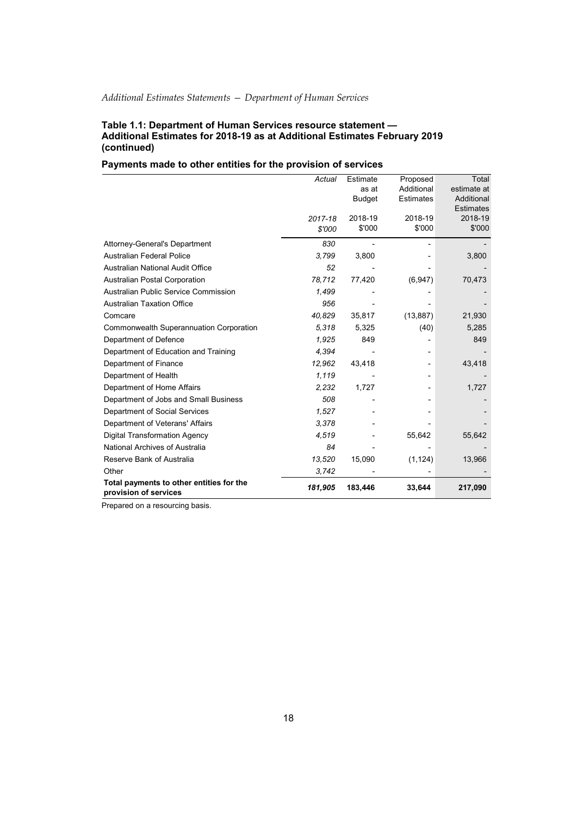### **Table 1.1: Department of Human Services resource statement — Additional Estimates for 2018-19 as at Additional Estimates February 2019 (continued)**

## **Payments made to other entities for the provision of services**

|                                                                   | Actual  | Estimate      | Proposed          | Total             |
|-------------------------------------------------------------------|---------|---------------|-------------------|-------------------|
|                                                                   |         | as at         | Additional        | estimate at       |
|                                                                   |         | <b>Budget</b> | <b>Estimates</b>  | Additional        |
|                                                                   |         |               |                   | <b>Estimates</b>  |
|                                                                   | 2017-18 | 2018-19       | 2018-19<br>\$'000 | 2018-19<br>\$'000 |
|                                                                   | \$'000  | \$'000        |                   |                   |
| <b>Attorney-General's Department</b>                              | 830     |               |                   |                   |
| <b>Australian Federal Police</b>                                  | 3,799   | 3,800         |                   | 3,800             |
| <b>Australian National Audit Office</b>                           | 52      |               |                   |                   |
| <b>Australian Postal Corporation</b>                              | 78,712  | 77,420        | (6, 947)          | 70,473            |
| Australian Public Service Commission                              | 1,499   |               |                   |                   |
| <b>Australian Taxation Office</b>                                 | 956     |               |                   |                   |
| Comcare                                                           | 40,829  | 35,817        | (13, 887)         | 21,930            |
| Commonwealth Superannuation Corporation                           | 5,318   | 5,325         | (40)              | 5,285             |
| Department of Defence                                             | 1,925   | 849           |                   | 849               |
| Department of Education and Training                              | 4,394   |               |                   |                   |
| Department of Finance                                             | 12,962  | 43,418        |                   | 43,418            |
| Department of Health                                              | 1,119   |               |                   |                   |
| Department of Home Affairs                                        | 2,232   | 1,727         |                   | 1,727             |
| Department of Jobs and Small Business                             | 508     |               |                   |                   |
| Department of Social Services                                     | 1,527   |               |                   |                   |
| Department of Veterans' Affairs                                   | 3,378   |               |                   |                   |
| <b>Digital Transformation Agency</b>                              | 4,519   |               | 55,642            | 55,642            |
| National Archives of Australia                                    | 84      |               |                   |                   |
| Reserve Bank of Australia                                         | 13,520  | 15,090        | (1, 124)          | 13,966            |
| Other                                                             | 3,742   |               |                   |                   |
| Total payments to other entities for the<br>provision of services | 181,905 | 183,446       | 33,644            | 217,090           |

Prepared on a resourcing basis.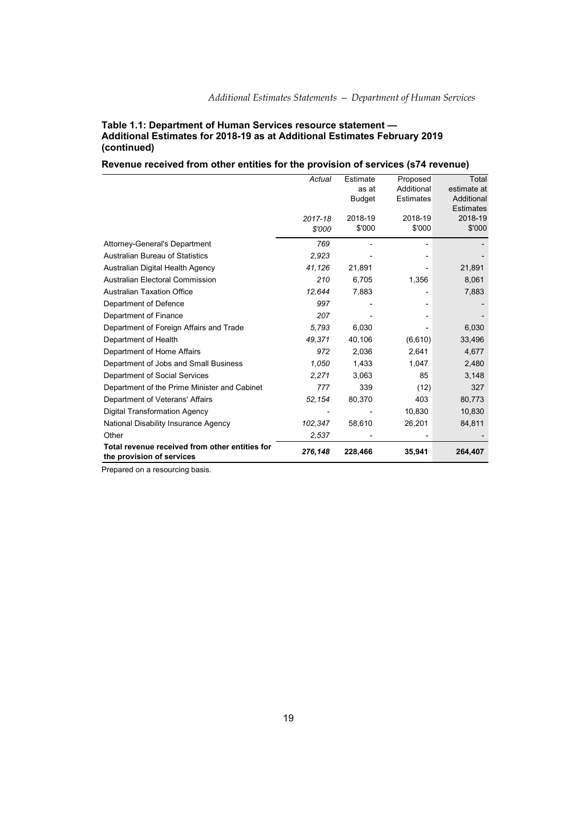### **Table 1.1: Department of Human Services resource statement — Additional Estimates for 2018-19 as at Additional Estimates February 2019 (continued)**

## **Revenue received from other entities for the provision of services (s74 revenue)**

|                                                | Actual  | Estimate      | Proposed         | Total            |
|------------------------------------------------|---------|---------------|------------------|------------------|
|                                                |         | as at         | Additional       | estimate at      |
|                                                |         | <b>Budget</b> | <b>Estimates</b> | Additional       |
|                                                |         |               |                  | <b>Estimates</b> |
|                                                | 2017-18 | 2018-19       | 2018-19          | 2018-19          |
|                                                | \$'000  | \$'000        | \$'000           | \$'000           |
| <b>Attorney-General's Department</b>           | 769     |               |                  |                  |
| <b>Australian Bureau of Statistics</b>         | 2,923   |               |                  |                  |
| Australian Digital Health Agency               | 41,126  | 21,891        |                  | 21,891           |
| <b>Australian Electoral Commission</b>         | 210     | 6,705         | 1,356            | 8,061            |
| <b>Australian Taxation Office</b>              | 12,644  | 7,883         |                  | 7,883            |
| Department of Defence                          | 997     |               |                  |                  |
| Department of Finance                          | 207     |               |                  |                  |
| Department of Foreign Affairs and Trade        | 5,793   | 6,030         |                  | 6,030            |
| Department of Health                           | 49,371  | 40,106        | (6,610)          | 33,496           |
| Department of Home Affairs                     | 972     | 2,036         | 2,641            | 4,677            |
| Department of Jobs and Small Business          | 1,050   | 1,433         | 1,047            | 2,480            |
| Department of Social Services                  | 2,271   | 3,063         | 85               | 3,148            |
| Department of the Prime Minister and Cabinet   | 777     | 339           | (12)             | 327              |
| Department of Veterans' Affairs                | 52,154  | 80,370        | 403              | 80,773           |
| <b>Digital Transformation Agency</b>           |         |               | 10,830           | 10,830           |
| National Disability Insurance Agency           | 102,347 | 58,610        | 26,201           | 84,811           |
| Other                                          | 2,537   |               |                  |                  |
| Total revenue received from other entities for | 276,148 | 228,466       | 35,941           | 264,407          |
| the provision of services                      |         |               |                  |                  |

Prepared on a resourcing basis.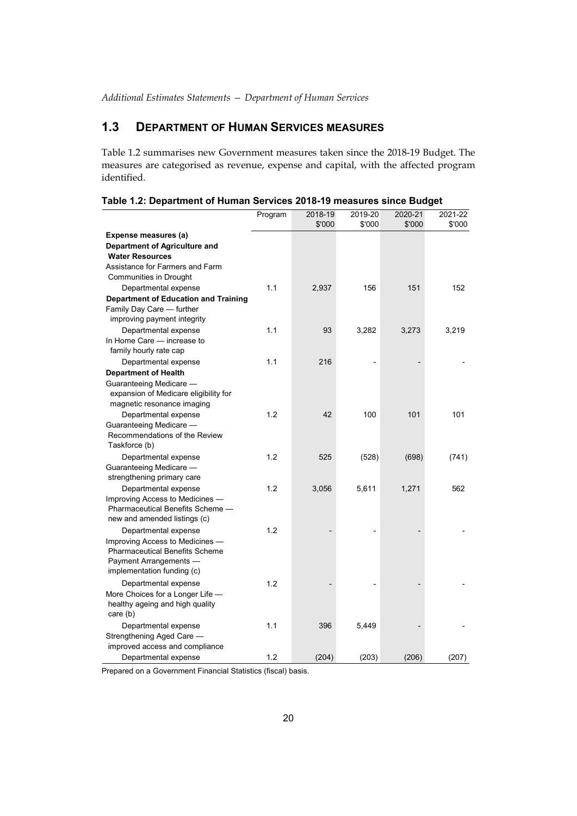## **1.3 DEPARTMENT OF HUMAN SERVICES MEASURES**

Table 1.2 summarises new Government measures taken since the 2018-19 Budget. The measures are categorised as revenue, expense and capital, with the affected program identified.

|                                             | Program | 2018-19 | 2019-20 | 2020-21 | 2021-22 |
|---------------------------------------------|---------|---------|---------|---------|---------|
|                                             |         | \$'000  | \$'000  | \$'000  | \$'000  |
| Expense measures (a)                        |         |         |         |         |         |
| Department of Agriculture and               |         |         |         |         |         |
| <b>Water Resources</b>                      |         |         |         |         |         |
| Assistance for Farmers and Farm             |         |         |         |         |         |
| Communities in Drought                      |         |         |         |         |         |
| Departmental expense                        | 1.1     | 2,937   | 156     | 151     | 152     |
| <b>Department of Education and Training</b> |         |         |         |         |         |
| Family Day Care - further                   |         |         |         |         |         |
| improving payment integrity                 |         |         |         |         |         |
| Departmental expense                        | 1.1     | 93      | 3,282   | 3,273   | 3,219   |
| In Home Care - increase to                  |         |         |         |         |         |
| family hourly rate cap                      |         |         |         |         |         |
| Departmental expense                        | 1.1     | 216     |         |         |         |
| <b>Department of Health</b>                 |         |         |         |         |         |
| Guaranteeing Medicare -                     |         |         |         |         |         |
| expansion of Medicare eligibility for       |         |         |         |         |         |
| magnetic resonance imaging                  |         |         |         |         |         |
| Departmental expense                        | 1.2     | 42      | 100     | 101     | 101     |
| Guaranteeing Medicare -                     |         |         |         |         |         |
| Recommendations of the Review               |         |         |         |         |         |
| Taskforce (b)                               |         |         |         |         |         |
| Departmental expense                        | 1.2     | 525     | (528)   | (698)   | (741)   |
| Guaranteeing Medicare -                     |         |         |         |         |         |
| strengthening primary care                  |         |         |         |         |         |
| Departmental expense                        | 1.2     | 3,056   | 5,611   | 1,271   | 562     |
| Improving Access to Medicines -             |         |         |         |         |         |
| Pharmaceutical Benefits Scheme -            |         |         |         |         |         |
| new and amended listings (c)                |         |         |         |         |         |
| Departmental expense                        | 1.2     |         |         |         |         |
| Improving Access to Medicines -             |         |         |         |         |         |
| <b>Pharmaceutical Benefits Scheme</b>       |         |         |         |         |         |
| Payment Arrangements -                      |         |         |         |         |         |
| implementation funding (c)                  |         |         |         |         |         |
| Departmental expense                        | 1.2     |         |         |         |         |
| More Choices for a Longer Life -            |         |         |         |         |         |
| healthy ageing and high quality             |         |         |         |         |         |
| care $(b)$                                  |         |         |         |         |         |
| Departmental expense                        | 1.1     | 396     | 5,449   |         |         |
| Strengthening Aged Care -                   |         |         |         |         |         |
| improved access and compliance              |         |         |         |         |         |
| Departmental expense                        | 1.2     | (204)   | (203)   | (206)   | (207)   |

|  |  | Table 1.2: Department of Human Services 2018-19 measures since Budget |
|--|--|-----------------------------------------------------------------------|
|  |  |                                                                       |

Prepared on a Government Financial Statistics (fiscal) basis.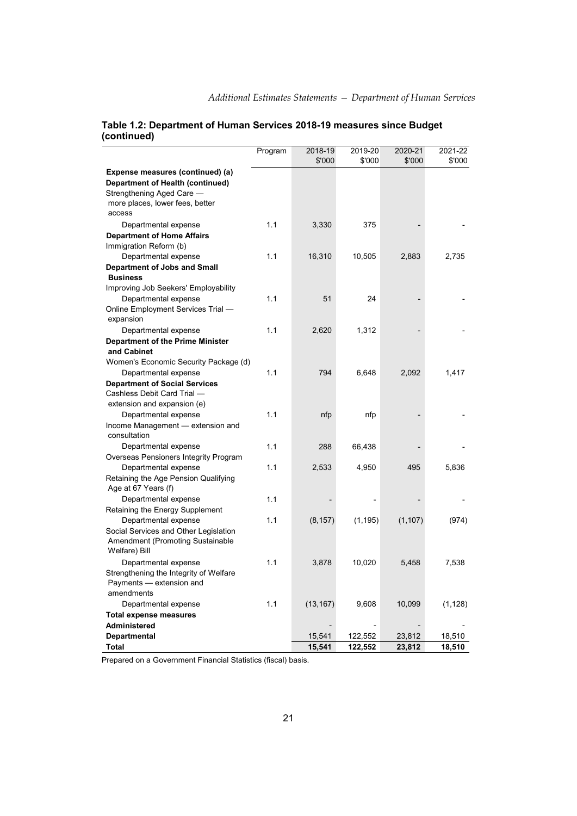|                                                                                                                                                | Program | 2018-19<br>\$'000 | 2019-20<br>\$'000 | 2020-21<br>\$'000 | 2021-22<br>\$'000 |
|------------------------------------------------------------------------------------------------------------------------------------------------|---------|-------------------|-------------------|-------------------|-------------------|
| Expense measures (continued) (a)<br>Department of Health (continued)<br>Strengthening Aged Care -<br>more places, lower fees, better<br>access |         |                   |                   |                   |                   |
| Departmental expense                                                                                                                           | 1.1     | 3,330             | 375               |                   |                   |
| <b>Department of Home Affairs</b><br>Immigration Reform (b)                                                                                    |         |                   |                   |                   |                   |
| Departmental expense                                                                                                                           | 1.1     | 16,310            | 10,505            | 2,883             | 2,735             |
| <b>Department of Jobs and Small</b><br><b>Business</b>                                                                                         |         |                   |                   |                   |                   |
| Improving Job Seekers' Employability                                                                                                           |         |                   |                   |                   |                   |
| Departmental expense                                                                                                                           | 1.1     | 51                | 24                |                   |                   |
| Online Employment Services Trial -                                                                                                             |         |                   |                   |                   |                   |
| expansion                                                                                                                                      |         |                   |                   |                   |                   |
| Departmental expense                                                                                                                           | 1.1     | 2,620             | 1,312             |                   |                   |
| <b>Department of the Prime Minister</b><br>and Cabinet                                                                                         |         |                   |                   |                   |                   |
| Women's Economic Security Package (d)                                                                                                          |         |                   |                   |                   |                   |
| Departmental expense                                                                                                                           | 1.1     | 794               | 6,648             | 2,092             | 1,417             |
| <b>Department of Social Services</b>                                                                                                           |         |                   |                   |                   |                   |
| Cashless Debit Card Trial -                                                                                                                    |         |                   |                   |                   |                   |
| extension and expansion (e)                                                                                                                    |         |                   |                   |                   |                   |
| Departmental expense                                                                                                                           | 1.1     | nfp               | nfp               |                   |                   |
| Income Management - extension and                                                                                                              |         |                   |                   |                   |                   |
| consultation                                                                                                                                   |         |                   |                   |                   |                   |
| Departmental expense                                                                                                                           | 1.1     | 288               | 66,438            |                   |                   |
| Overseas Pensioners Integrity Program                                                                                                          |         |                   |                   |                   |                   |
| Departmental expense                                                                                                                           | 1.1     | 2,533             | 4,950             | 495               | 5,836             |
| Retaining the Age Pension Qualifying<br>Age at 67 Years (f)                                                                                    |         |                   |                   |                   |                   |
| Departmental expense                                                                                                                           | 1.1     |                   |                   |                   |                   |
| Retaining the Energy Supplement                                                                                                                |         |                   |                   |                   |                   |
| Departmental expense                                                                                                                           | 1.1     | (8, 157)          | (1, 195)          | (1, 107)          | (974)             |
| Social Services and Other Legislation                                                                                                          |         |                   |                   |                   |                   |
| Amendment (Promoting Sustainable<br>Welfare) Bill                                                                                              |         |                   |                   |                   |                   |
| Departmental expense                                                                                                                           | 1.1     | 3,878             | 10,020            | 5,458             | 7,538             |
| Strengthening the Integrity of Welfare                                                                                                         |         |                   |                   |                   |                   |
| Payments - extension and                                                                                                                       |         |                   |                   |                   |                   |
| amendments                                                                                                                                     |         |                   |                   |                   |                   |
| Departmental expense                                                                                                                           | 1.1     | (13, 167)         | 9,608             | 10,099            | (1, 128)          |
| <b>Total expense measures</b>                                                                                                                  |         |                   |                   |                   |                   |
| Administered                                                                                                                                   |         |                   |                   |                   |                   |
| Departmental                                                                                                                                   |         | 15,541            | 122,552           | 23,812            | 18,510            |
| Total                                                                                                                                          |         | 15,541            | 122,552           | 23,812            | 18,510            |

## **Table 1.2: Department of Human Services 2018-19 measures since Budget (continued)**

Prepared on a Government Financial Statistics (fiscal) basis.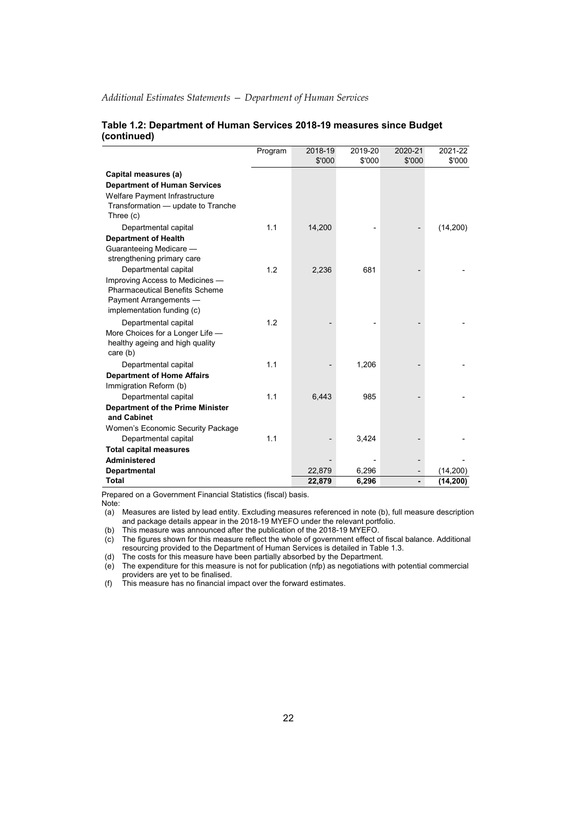|                                                      | Program | 2018-19 | 2019-20 | 2020-21 | 2021-22  |
|------------------------------------------------------|---------|---------|---------|---------|----------|
|                                                      |         | \$'000  | \$'000  | \$'000  | \$'000   |
| Capital measures (a)                                 |         |         |         |         |          |
| <b>Department of Human Services</b>                  |         |         |         |         |          |
| Welfare Payment Infrastructure                       |         |         |         |         |          |
| Transformation - update to Tranche                   |         |         |         |         |          |
| Three (c)                                            |         |         |         |         |          |
| Departmental capital                                 | 1.1     | 14,200  |         |         | (14,200) |
| <b>Department of Health</b>                          |         |         |         |         |          |
| Guaranteeing Medicare -                              |         |         |         |         |          |
| strengthening primary care                           |         |         |         |         |          |
| Departmental capital                                 | 1.2     | 2,236   | 681     |         |          |
| Improving Access to Medicines -                      |         |         |         |         |          |
| <b>Pharmaceutical Benefits Scheme</b>                |         |         |         |         |          |
| Payment Arrangements -<br>implementation funding (c) |         |         |         |         |          |
|                                                      |         |         |         |         |          |
| Departmental capital                                 | 1.2     |         |         |         |          |
| More Choices for a Longer Life -                     |         |         |         |         |          |
| healthy ageing and high quality<br>care $(b)$        |         |         |         |         |          |
| Departmental capital                                 | 1.1     |         | 1,206   |         |          |
| <b>Department of Home Affairs</b>                    |         |         |         |         |          |
| Immigration Reform (b)                               |         |         |         |         |          |
| Departmental capital                                 | 1.1     | 6,443   | 985     |         |          |
| <b>Department of the Prime Minister</b>              |         |         |         |         |          |
| and Cabinet                                          |         |         |         |         |          |
| Women's Economic Security Package                    |         |         |         |         |          |
| Departmental capital                                 | 1.1     |         | 3,424   |         |          |
| <b>Total capital measures</b>                        |         |         |         |         |          |
| Administered                                         |         |         |         |         |          |
| Departmental                                         |         | 22,879  | 6,296   |         | (14,200) |
| <b>Total</b>                                         |         | 22,879  | 6,296   |         | (14,200) |

### **Table 1.2: Department of Human Services 2018-19 measures since Budget (continued)**

Prepared on a Government Financial Statistics (fiscal) basis.

Note:

(a) Measures are listed by lead entity. Excluding measures referenced in note (b), full measure description and package details appear in the 2018-19 MYEFO under the relevant portfolio.

(b) This measure was announced after the publication of the 2018-19 MYEFO.

(c) The figures shown for this measure reflect the whole of government effect of fiscal balance. Additional resourcing provided to the Department of Human Services is detailed in Table 1.3. (d) The costs for this measure have been partially absorbed by the Department.

(e) The expenditure for this measure is not for publication (nfp) as negotiations with potential commercial providers are yet to be finalised.

(f) This measure has no financial impact over the forward estimates.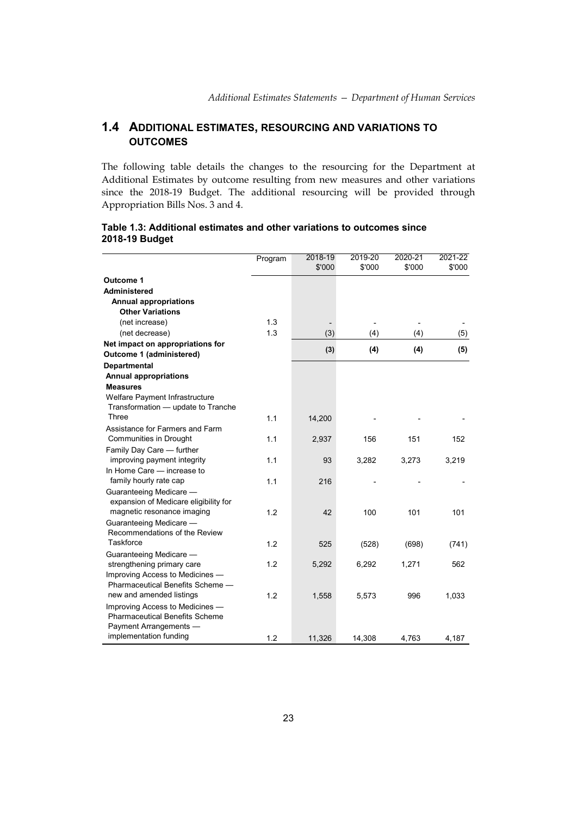## **1.4 ADDITIONAL ESTIMATES, RESOURCING AND VARIATIONS TO OUTCOMES**

The following table details the changes to the resourcing for the Department at Additional Estimates by outcome resulting from new measures and other variations since the 2018-19 Budget. The additional resourcing will be provided through Appropriation Bills Nos. 3 and 4.

|                                                                          | Program | 2018-19 | 2019-20 | 2020-21 | 2021-22 |
|--------------------------------------------------------------------------|---------|---------|---------|---------|---------|
|                                                                          |         | \$'000  | \$'000  | \$'000  | \$'000  |
| Outcome 1                                                                |         |         |         |         |         |
| Administered                                                             |         |         |         |         |         |
| <b>Annual appropriations</b>                                             |         |         |         |         |         |
| <b>Other Variations</b>                                                  |         |         |         |         |         |
| (net increase)                                                           | 1.3     |         |         |         |         |
| (net decrease)                                                           | 1.3     | (3)     | (4)     | (4)     | (5)     |
| Net impact on appropriations for                                         |         |         |         |         |         |
| Outcome 1 (administered)                                                 |         | (3)     | (4)     | (4)     | (5)     |
| <b>Departmental</b>                                                      |         |         |         |         |         |
| <b>Annual appropriations</b>                                             |         |         |         |         |         |
| <b>Measures</b>                                                          |         |         |         |         |         |
| Welfare Payment Infrastructure                                           |         |         |         |         |         |
| Transformation - update to Tranche                                       |         |         |         |         |         |
| Three                                                                    | 1.1     | 14,200  |         |         |         |
| Assistance for Farmers and Farm                                          |         |         |         |         |         |
| Communities in Drought                                                   | 1.1     | 2,937   | 156     | 151     | 152     |
| Family Day Care - further                                                |         |         |         |         |         |
| improving payment integrity                                              | 1.1     | 93      | 3,282   | 3,273   | 3,219   |
| In Home Care - increase to                                               |         |         |         |         |         |
| family hourly rate cap                                                   | 1.1     | 216     |         |         |         |
| Guaranteeing Medicare -                                                  |         |         |         |         |         |
| expansion of Medicare eligibility for                                    |         |         |         |         |         |
| magnetic resonance imaging                                               | 1.2     | 42      | 100     | 101     | 101     |
| Guaranteeing Medicare -                                                  |         |         |         |         |         |
| Recommendations of the Review                                            |         |         |         |         |         |
| Taskforce                                                                | 1.2     | 525     | (528)   | (698)   | (741)   |
| Guaranteeing Medicare -                                                  |         |         |         |         |         |
| strengthening primary care                                               | 1.2     | 5,292   | 6,292   | 1,271   | 562     |
| Improving Access to Medicines -<br>Pharmaceutical Benefits Scheme -      |         |         |         |         |         |
| new and amended listings                                                 |         |         |         |         |         |
|                                                                          | 1.2     | 1,558   | 5,573   | 996     | 1,033   |
| Improving Access to Medicines -<br><b>Pharmaceutical Benefits Scheme</b> |         |         |         |         |         |
| Payment Arrangements -                                                   |         |         |         |         |         |
| implementation funding                                                   | 1.2     |         |         |         |         |
|                                                                          |         | 11,326  | 14,308  | 4,763   | 4,187   |

## **Table 1.3: Additional estimates and other variations to outcomes since 2018-19 Budget**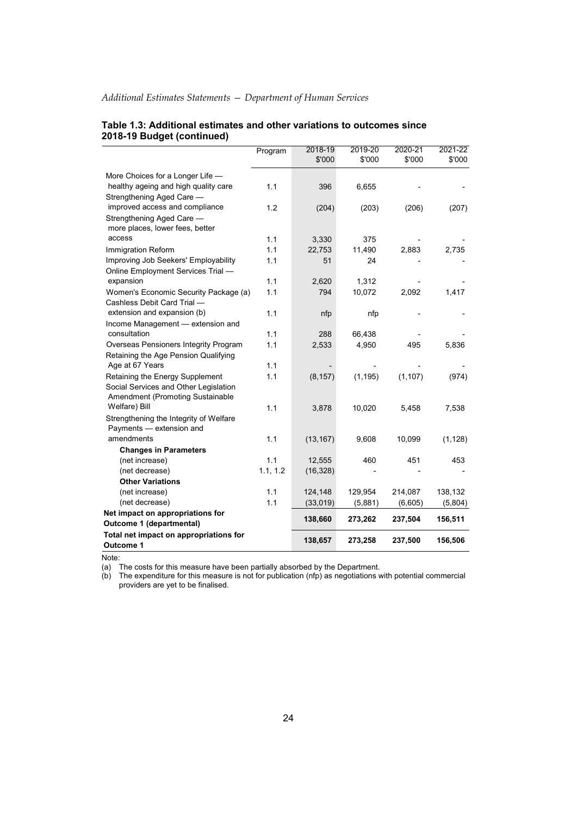|                                                                          | Program    | 2018-19   | 2019-20  | 2020-21  | 2021-22  |
|--------------------------------------------------------------------------|------------|-----------|----------|----------|----------|
|                                                                          |            | \$'000    | \$'000   | \$'000   | \$'000   |
| More Choices for a Longer Life -                                         |            |           |          |          |          |
| healthy ageing and high quality care                                     | 1.1        | 396       | 6,655    |          |          |
| Strengthening Aged Care -                                                |            |           |          |          |          |
| improved access and compliance                                           | 1.2        | (204)     | (203)    | (206)    | (207)    |
| Strengthening Aged Care -                                                |            |           |          |          |          |
| more places, lower fees, better                                          |            |           |          |          |          |
| access                                                                   | 1.1        | 3,330     | 375      |          |          |
| Immigration Reform                                                       | 1.1        | 22,753    | 11,490   | 2,883    | 2,735    |
| Improving Job Seekers' Employability                                     | 1.1        | 51        | 24       |          |          |
| Online Employment Services Trial -                                       |            |           |          |          |          |
| expansion                                                                | 1.1        | 2,620     | 1,312    |          |          |
| Women's Economic Security Package (a)                                    | 1.1        | 794       | 10,072   | 2,092    | 1,417    |
| Cashless Debit Card Trial -                                              |            |           |          |          |          |
| extension and expansion (b)                                              | 1.1        | nfp       | nfp      |          |          |
| Income Management - extension and                                        |            |           |          |          |          |
| consultation                                                             | 1.1        | 288       | 66,438   |          |          |
| Overseas Pensioners Integrity Program                                    | 1.1        | 2,533     | 4,950    | 495      | 5,836    |
| Retaining the Age Pension Qualifying                                     |            |           |          |          |          |
| Age at 67 Years                                                          | 1.1<br>1.1 |           |          |          |          |
| Retaining the Energy Supplement<br>Social Services and Other Legislation |            | (8, 157)  | (1, 195) | (1, 107) | (974)    |
| Amendment (Promoting Sustainable                                         |            |           |          |          |          |
| Welfare) Bill                                                            | 1.1        | 3,878     | 10,020   | 5,458    | 7,538    |
| Strengthening the Integrity of Welfare                                   |            |           |          |          |          |
| Payments - extension and                                                 |            |           |          |          |          |
| amendments                                                               | 1.1        | (13, 167) | 9,608    | 10,099   | (1, 128) |
| <b>Changes in Parameters</b>                                             |            |           |          |          |          |
| (net increase)                                                           | 1.1        | 12,555    | 460      | 451      | 453      |
| (net decrease)                                                           | 1.1, 1.2   | (16, 328) |          |          |          |
| <b>Other Variations</b>                                                  |            |           |          |          |          |
| (net increase)                                                           | 1.1        | 124,148   | 129,954  | 214,087  | 138,132  |
| (net decrease)                                                           | 1.1        | (33, 019) | (5,881)  | (6,605)  | (5,804)  |
| Net impact on appropriations for                                         |            | 138,660   | 273,262  | 237,504  | 156,511  |
| Outcome 1 (departmental)                                                 |            |           |          |          |          |
| Total net impact on appropriations for<br>Outcome 1                      |            | 138,657   | 273,258  | 237,500  | 156,506  |

### **Table 1.3: Additional estimates and other variations to outcomes since 2018-19 Budget (continued)**

Note:

(a) The costs for this measure have been partially absorbed by the Department.

(b) The expenditure for this measure is not for publication (nfp) as negotiations with potential commercial providers are yet to be finalised.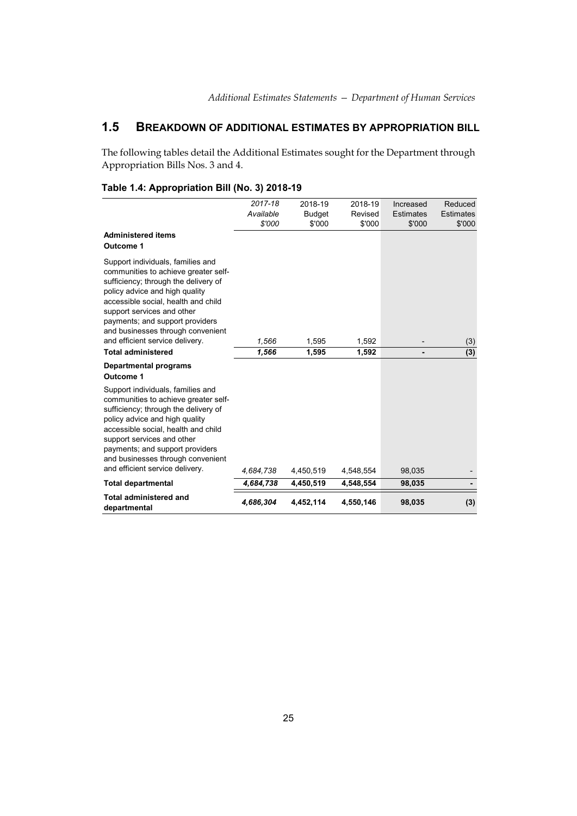## **1.5 BREAKDOWN OF ADDITIONAL ESTIMATES BY APPROPRIATION BILL**

The following tables detail the Additional Estimates sought for the Department through Appropriation Bills Nos. 3 and 4.

|                                                                                                                                                                                                                                                                                                                                                                  | 2017-18        | 2018-19        | 2018-19        | Increased        | Reduced          |
|------------------------------------------------------------------------------------------------------------------------------------------------------------------------------------------------------------------------------------------------------------------------------------------------------------------------------------------------------------------|----------------|----------------|----------------|------------------|------------------|
|                                                                                                                                                                                                                                                                                                                                                                  | Available      | <b>Budget</b>  | Revised        | <b>Estimates</b> | <b>Estimates</b> |
|                                                                                                                                                                                                                                                                                                                                                                  | \$'000         | \$'000         | \$'000         | \$'000           | \$'000           |
| <b>Administered items</b><br>Outcome 1                                                                                                                                                                                                                                                                                                                           |                |                |                |                  |                  |
| Support individuals, families and<br>communities to achieve greater self-<br>sufficiency; through the delivery of<br>policy advice and high quality<br>accessible social, health and child<br>support services and other<br>payments; and support providers<br>and businesses through convenient<br>and efficient service delivery.<br><b>Total administered</b> | 1,566<br>1,566 | 1,595<br>1,595 | 1,592<br>1,592 |                  | (3)<br>(3)       |
| <b>Departmental programs</b><br>Outcome 1                                                                                                                                                                                                                                                                                                                        |                |                |                |                  |                  |
| Support individuals, families and<br>communities to achieve greater self-<br>sufficiency; through the delivery of<br>policy advice and high quality<br>accessible social, health and child<br>support services and other<br>payments; and support providers<br>and businesses through convenient<br>and efficient service delivery.                              | 4,684,738      | 4,450,519      | 4,548,554      | 98,035           |                  |
| <b>Total departmental</b>                                                                                                                                                                                                                                                                                                                                        | 4,684,738      | 4.450.519      | 4,548,554      | 98,035           |                  |
| <b>Total administered and</b><br>departmental                                                                                                                                                                                                                                                                                                                    | 4,686,304      | 4,452,114      | 4,550,146      | 98,035           | (3)              |

## **Table 1.4: Appropriation Bill (No. 3) 2018-19**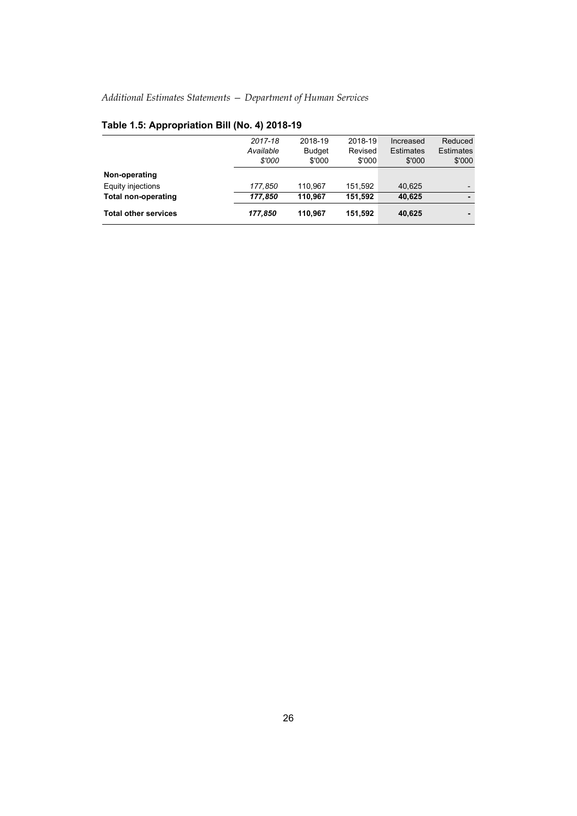| <b>Total other services</b>        | 177,850                        | 110.967                            | 151,592                      | 40,625                                  |                                       |
|------------------------------------|--------------------------------|------------------------------------|------------------------------|-----------------------------------------|---------------------------------------|
| <b>Total non-operating</b>         | 177.850                        | 110.967                            | 151.592                      | 40,625                                  |                                       |
| Non-operating<br>Equity injections | 177,850                        | 110,967                            | 151.592                      | 40,625                                  |                                       |
|                                    | 2017-18<br>Available<br>\$'000 | 2018-19<br><b>Budget</b><br>\$'000 | 2018-19<br>Revised<br>\$'000 | Increased<br><b>Estimates</b><br>\$'000 | Reduced<br><b>Estimates</b><br>\$'000 |
|                                    |                                |                                    |                              |                                         |                                       |

## **Table 1.5: Appropriation Bill (No. 4) 2018-19**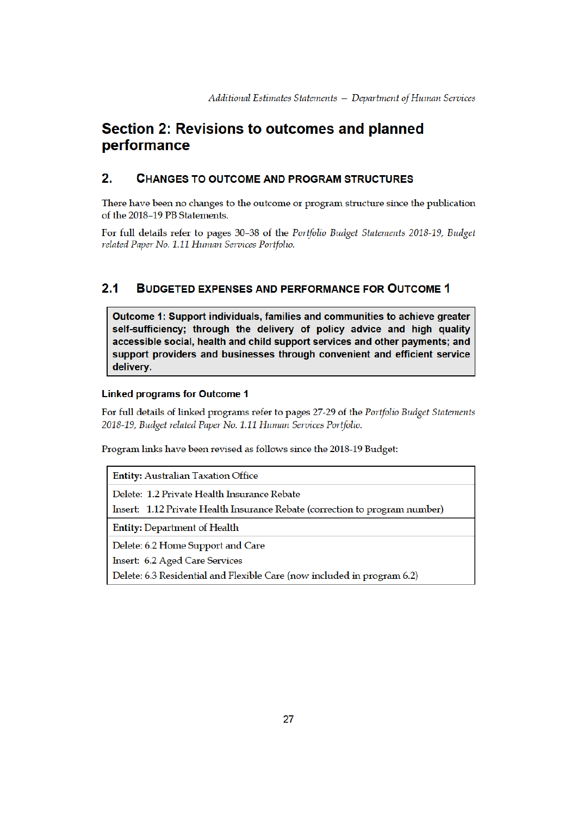## Section 2: Revisions to outcomes and planned performance

#### $2.$ **CHANGES TO OUTCOME AND PROGRAM STRUCTURES**

There have been no changes to the outcome or program structure since the publication of the 2018-19 PB Statements.

For full details refer to pages 30-38 of the Portfolio Budget Statements 2018-19, Budget related Paper No. 1.11 Human Services Portfolio.

#### $2.1$ **BUDGETED EXPENSES AND PERFORMANCE FOR OUTCOME 1**

Outcome 1: Support individuals, families and communities to achieve greater self-sufficiency; through the delivery of policy advice and high quality accessible social, health and child support services and other payments; and support providers and businesses through convenient and efficient service delivery.

## **Linked programs for Outcome 1**

For full details of linked programs refer to pages 27-29 of the Portfolio Budget Statements 2018-19, Budget related Paper No. 1.11 Human Services Portfolio.

Program links have been revised as follows since the 2018-19 Budget:

| <b>Entity: Australian Taxation Office</b>                                                                                  |
|----------------------------------------------------------------------------------------------------------------------------|
| Delete: 1.2 Private Health Insurance Rebate<br>Insert: 1.12 Private Health Insurance Rebate (correction to program number) |
| <b>Entity: Department of Health</b>                                                                                        |
| Delete: 6.2 Home Support and Care                                                                                          |
| Insert: 6.2 Aged Care Services                                                                                             |
| Delete: 6.3 Residential and Flexible Care (now included in program 6.2)                                                    |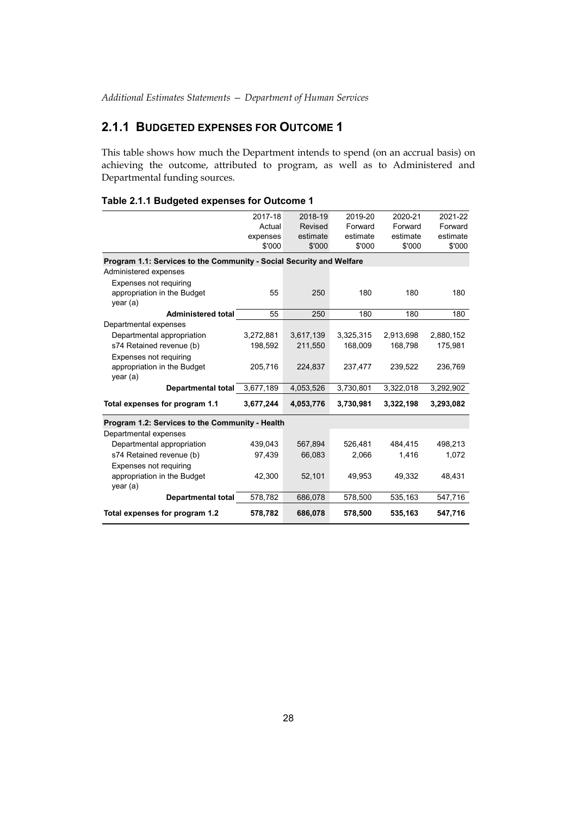## **2.1.1 BUDGETED EXPENSES FOR OUTCOME 1**

This table shows how much the Department intends to spend (on an accrual basis) on achieving the outcome, attributed to program, as well as to Administered and Departmental funding sources.

| Table 2.1.1 Budgeted expenses for Outcome 1 |
|---------------------------------------------|
|---------------------------------------------|

|                                                                      | 2017-18   | 2018-19   | 2019-20   | 2020-21   | 2021-22   |
|----------------------------------------------------------------------|-----------|-----------|-----------|-----------|-----------|
|                                                                      | Actual    | Revised   | Forward   | Forward   | Forward   |
|                                                                      | expenses  | estimate  | estimate  | estimate  | estimate  |
|                                                                      | \$'000    | \$'000    | \$'000    | \$'000    | \$'000    |
| Program 1.1: Services to the Community - Social Security and Welfare |           |           |           |           |           |
| Administered expenses                                                |           |           |           |           |           |
| Expenses not requiring                                               |           |           |           |           |           |
| appropriation in the Budget                                          | 55        | 250       | 180       | 180       | 180       |
| year (a)                                                             |           |           |           |           |           |
| <b>Administered total</b>                                            | 55        | 250       | 180       | 180       | 180       |
| Departmental expenses                                                |           |           |           |           |           |
| Departmental appropriation                                           | 3,272,881 | 3,617,139 | 3,325,315 | 2,913,698 | 2,880,152 |
| s74 Retained revenue (b)                                             | 198,592   | 211,550   | 168,009   | 168,798   | 175,981   |
| Expenses not requiring                                               |           |           |           |           |           |
| appropriation in the Budget                                          | 205,716   | 224,837   | 237,477   | 239,522   | 236,769   |
| year (a)                                                             |           |           |           |           |           |
| Departmental total                                                   | 3,677,189 | 4,053,526 | 3,730,801 | 3,322,018 | 3,292,902 |
| Total expenses for program 1.1                                       | 3,677,244 | 4,053,776 | 3,730,981 | 3,322,198 | 3,293,082 |
| Program 1.2: Services to the Community - Health                      |           |           |           |           |           |
| Departmental expenses                                                |           |           |           |           |           |
| Departmental appropriation                                           | 439.043   | 567,894   | 526,481   | 484.415   | 498,213   |
| s74 Retained revenue (b)                                             | 97,439    | 66,083    | 2,066     | 1,416     | 1,072     |
| Expenses not requiring                                               |           |           |           |           |           |
| appropriation in the Budget<br>year (a)                              | 42,300    | 52,101    | 49,953    | 49,332    | 48,431    |
| Departmental total                                                   | 578,782   | 686,078   | 578,500   | 535,163   | 547,716   |
| Total expenses for program 1.2                                       | 578,782   | 686,078   | 578,500   | 535,163   | 547,716   |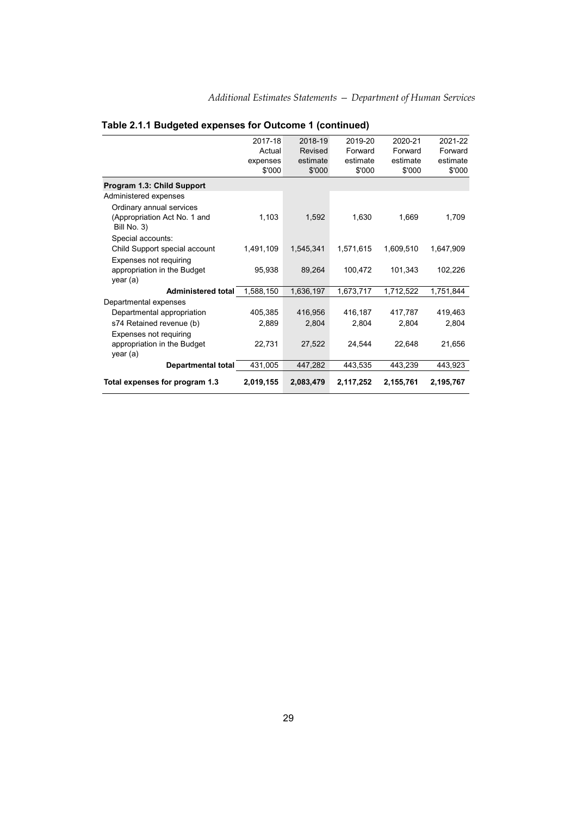|                                             | 2017-18   | 2018-19   | 2019-20   | 2020-21   | 2021-22   |  |  |  |
|---------------------------------------------|-----------|-----------|-----------|-----------|-----------|--|--|--|
|                                             | Actual    | Revised   | Forward   | Forward   | Forward   |  |  |  |
|                                             | expenses  | estimate  | estimate  | estimate  | estimate  |  |  |  |
|                                             | \$'000    | \$'000    | \$'000    | \$'000    | \$'000    |  |  |  |
| Program 1.3: Child Support                  |           |           |           |           |           |  |  |  |
| Administered expenses                       |           |           |           |           |           |  |  |  |
| Ordinary annual services                    |           |           |           |           |           |  |  |  |
| (Appropriation Act No. 1 and<br>Bill No. 3) | 1,103     | 1,592     | 1,630     | 1,669     | 1,709     |  |  |  |
| Special accounts:                           |           |           |           |           |           |  |  |  |
| Child Support special account               | 1,491,109 | 1,545,341 | 1,571,615 | 1,609,510 | 1,647,909 |  |  |  |
| Expenses not requiring                      |           |           |           |           |           |  |  |  |
| appropriation in the Budget                 | 95,938    | 89,264    | 100,472   | 101,343   | 102,226   |  |  |  |
| year (a)                                    |           |           |           |           |           |  |  |  |
| <b>Administered total</b>                   | 1,588,150 | 1,636,197 | 1,673,717 | 1,712,522 | 1,751,844 |  |  |  |
| Departmental expenses                       |           |           |           |           |           |  |  |  |
| Departmental appropriation                  | 405,385   | 416,956   | 416,187   | 417,787   | 419,463   |  |  |  |
| s74 Retained revenue (b)                    | 2,889     | 2,804     | 2,804     | 2,804     | 2,804     |  |  |  |
| Expenses not requiring                      |           |           |           |           |           |  |  |  |
| appropriation in the Budget                 | 22,731    | 27,522    | 24,544    | 22,648    | 21,656    |  |  |  |
| year (a)                                    |           |           |           |           |           |  |  |  |
| Departmental total                          | 431,005   | 447,282   | 443,535   | 443,239   | 443,923   |  |  |  |
| Total expenses for program 1.3              | 2,019,155 | 2,083,479 | 2,117,252 | 2,155,761 | 2,195,767 |  |  |  |

## **Table 2.1.1 Budgeted expenses for Outcome 1 (continued)**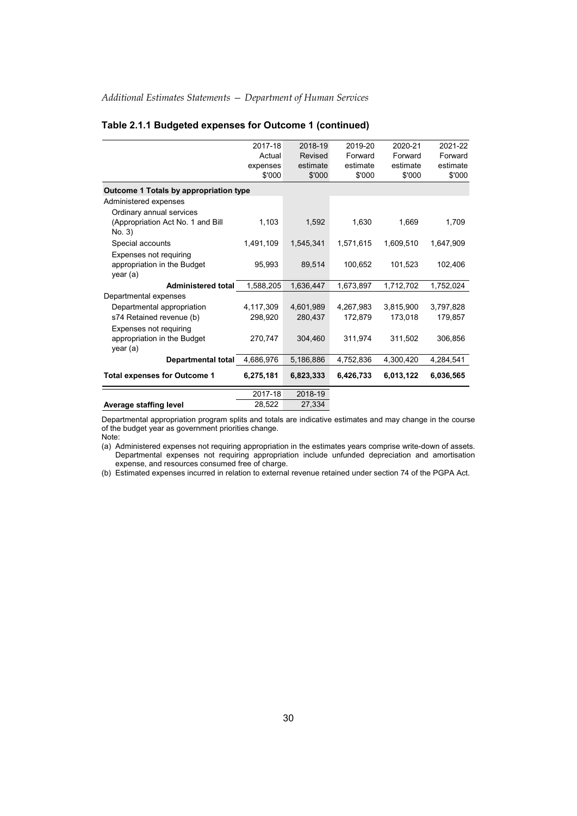|                                        | 2017-18   | 2018-19   | 2019-20   | 2020-21   | 2021-22   |
|----------------------------------------|-----------|-----------|-----------|-----------|-----------|
|                                        | Actual    | Revised   | Forward   | Forward   | Forward   |
|                                        | expenses  | estimate  | estimate  | estimate  | estimate  |
|                                        | \$'000    | \$'000    | \$'000    | \$'000    | \$'000    |
| Outcome 1 Totals by appropriation type |           |           |           |           |           |
| Administered expenses                  |           |           |           |           |           |
| Ordinary annual services               |           |           |           |           |           |
| (Appropriation Act No. 1 and Bill      | 1,103     | 1,592     | 1,630     | 1,669     | 1,709     |
| No. 3)                                 |           |           |           |           |           |
| Special accounts                       | 1,491,109 | 1,545,341 | 1,571,615 | 1,609,510 | 1,647,909 |
| Expenses not requiring                 |           |           |           |           |           |
| appropriation in the Budget            | 95,993    | 89.514    | 100.652   | 101.523   | 102,406   |
| year (a)                               |           |           |           |           |           |
| <b>Administered total</b>              | 1,588,205 | 1,636,447 | 1,673,897 | 1,712,702 | 1,752,024 |
| Departmental expenses                  |           |           |           |           |           |
| Departmental appropriation             | 4,117,309 | 4.601.989 | 4,267,983 | 3,815,900 | 3,797,828 |
| s74 Retained revenue (b)               | 298,920   | 280,437   | 172,879   | 173,018   | 179,857   |
| Expenses not requiring                 |           |           |           |           |           |
| appropriation in the Budget            | 270,747   | 304,460   | 311,974   | 311,502   | 306,856   |
| year (a)                               |           |           |           |           |           |
| <b>Departmental total</b>              | 4,686,976 | 5,186,886 | 4,752,836 | 4,300,420 | 4,284,541 |
| <b>Total expenses for Outcome 1</b>    | 6,275,181 | 6,823,333 | 6,426,733 | 6,013,122 | 6,036,565 |
|                                        |           |           |           |           |           |
|                                        | 2017-18   | 2018-19   |           |           |           |
| Average staffing level                 | 28,522    | 27,334    |           |           |           |

## **Table 2.1.1 Budgeted expenses for Outcome 1 (continued)**

Departmental appropriation program splits and totals are indicative estimates and may change in the course of the budget year as government priorities change. Note:

(a) Administered expenses not requiring appropriation in the estimates years comprise write-down of assets. Departmental expenses not requiring appropriation include unfunded depreciation and amortisation expense, and resources consumed free of charge.

(b) Estimated expenses incurred in relation to external revenue retained under section 74 of the PGPA Act.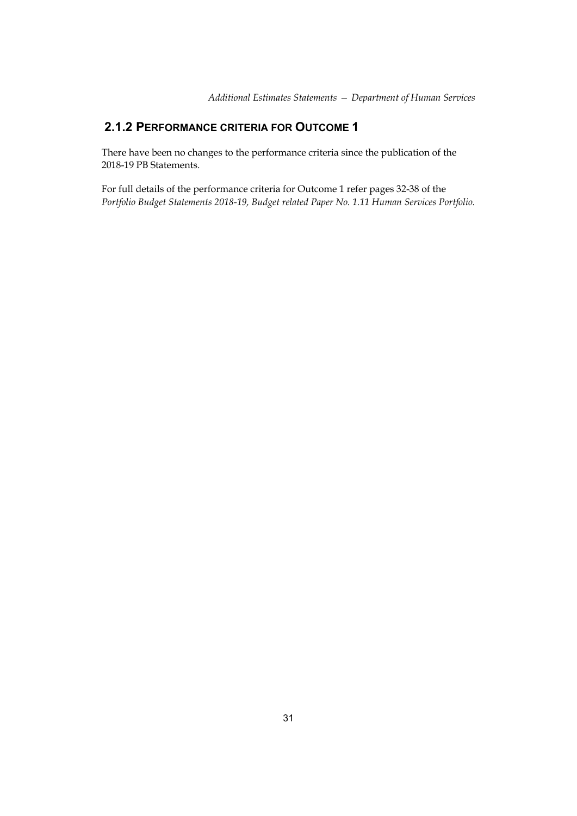## **2.1.2 PERFORMANCE CRITERIA FOR OUTCOME 1**

There have been no changes to the performance criteria since the publication of the 2018-19 PB Statements.

For full details of the performance criteria for Outcome 1 refer pages 32-38 of the *Portfolio Budget Statements 2018-19, Budget related Paper No. 1.11 Human Services Portfolio.*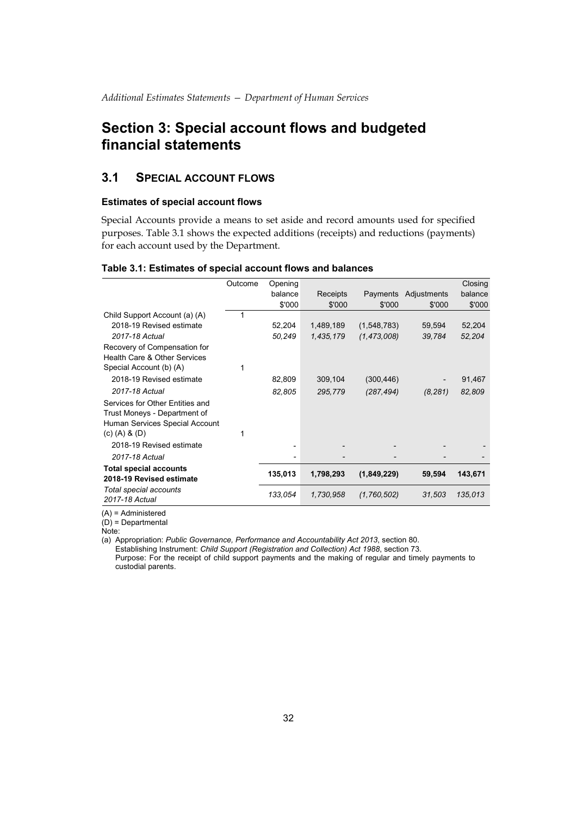## **Section 3: Special account flows and budgeted financial statements**

## **3.1 SPECIAL ACCOUNT FLOWS**

## **Estimates of special account flows**

Special Accounts provide a means to set aside and record amounts used for specified purposes. Table 3.1 shows the expected additions (receipts) and reductions (payments) for each account used by the Department.

### **Table 3.1: Estimates of special account flows and balances**

|                                          | Outcome | Opening |           |               |                      | Closing |
|------------------------------------------|---------|---------|-----------|---------------|----------------------|---------|
|                                          |         | balance | Receipts  |               | Payments Adjustments | balance |
|                                          |         | \$'000  | \$'000    | \$'000        | \$'000               | \$'000  |
| Child Support Account (a) (A)            |         |         |           |               |                      |         |
| 2018-19 Revised estimate                 |         | 52,204  | 1,489,189 | (1,548,783)   | 59,594               | 52,204  |
| 2017-18 Actual                           |         | 50,249  | 1,435,179 | (1, 473, 008) | 39,784               | 52,204  |
| Recovery of Compensation for             |         |         |           |               |                      |         |
| Health Care & Other Services             |         |         |           |               |                      |         |
| Special Account (b) (A)                  |         |         |           |               |                      |         |
| 2018-19 Revised estimate                 |         | 82,809  | 309,104   | (300, 446)    |                      | 91,467  |
| 2017-18 Actual                           |         | 82,805  | 295,779   | (287, 494)    | (8, 281)             | 82,809  |
| Services for Other Entities and          |         |         |           |               |                      |         |
| Trust Moneys - Department of             |         |         |           |               |                      |         |
| Human Services Special Account           |         |         |           |               |                      |         |
| (c) $(A)$ & $(D)$                        |         |         |           |               |                      |         |
| 2018-19 Revised estimate                 |         |         |           |               |                      |         |
| 2017-18 Actual                           |         | -       |           |               |                      |         |
| <b>Total special accounts</b>            |         | 135,013 | 1,798,293 | (1,849,229)   | 59,594               | 143,671 |
| 2018-19 Revised estimate                 |         |         |           |               |                      |         |
| Total special accounts<br>2017-18 Actual |         | 133,054 | 1,730,958 | (1,760,502)   | 31,503               | 135,013 |

(A) = Administered

 $(D)$  = Departmental

Note:

(a) Appropriation: *Public Governance, Performance and Accountability Act 2013*, section 80.

Establishing Instrument: *Child Support (Registration and Collection) Act 1988*, section 73. Purpose: For the receipt of child support payments and the making of regular and timely payments to custodial parents.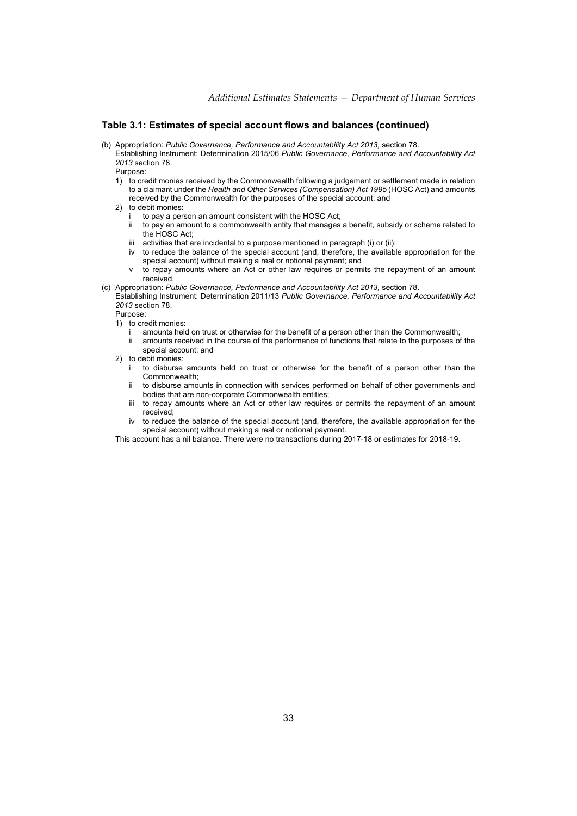### **Table 3.1: Estimates of special account flows and balances (continued)**

(b) Appropriation: *Public Governance, Performance and Accountability Act 2013,* section 78. Establishing Instrument: Determination 2015/06 *Public Governance, Performance and Accountability Act 2013* section 78.

Purpose:

- 1) to credit monies received by the Commonwealth following a judgement or settlement made in relation to a claimant under the *Health and Other Services (Compensation) Act 1995* (HOSC Act) and amounts received by the Commonwealth for the purposes of the special account; and
- 2) to debit monies:
	- to pay a person an amount consistent with the HOSC Act:
	- ii to pay an amount to a commonwealth entity that manages a benefit, subsidy or scheme related to the HOSC Act;
	- iii activities that are incidental to a purpose mentioned in paragraph (i) or (ii);
	- iv to reduce the balance of the special account (and, therefore, the available appropriation for the special account) without making a real or notional payment; and
	- to repay amounts where an Act or other law requires or permits the repayment of an amount received.
- (c) Appropriation: *Public Governance, Performance and Accountability Act 2013,* section 78.
	- Establishing Instrument: Determination 2011/13 *Public Governance, Performance and Accountability Act 2013* section 78.

Purpose:

- 1) to credit monies:
	- amounts held on trust or otherwise for the benefit of a person other than the Commonwealth; ii amounts received in the course of the performance of functions that relate to the purposes of the
- special account; and 2) to debit monies:
	- to disburse amounts held on trust or otherwise for the benefit of a person other than the Commonwealth;
	- ii to disburse amounts in connection with services performed on behalf of other governments and bodies that are non-corporate Commonwealth entities;
	- iii to repay amounts where an Act or other law requires or permits the repayment of an amount received;
	- to reduce the balance of the special account (and, therefore, the available appropriation for the special account) without making a real or notional payment.

This account has a nil balance. There were no transactions during 2017-18 or estimates for 2018-19.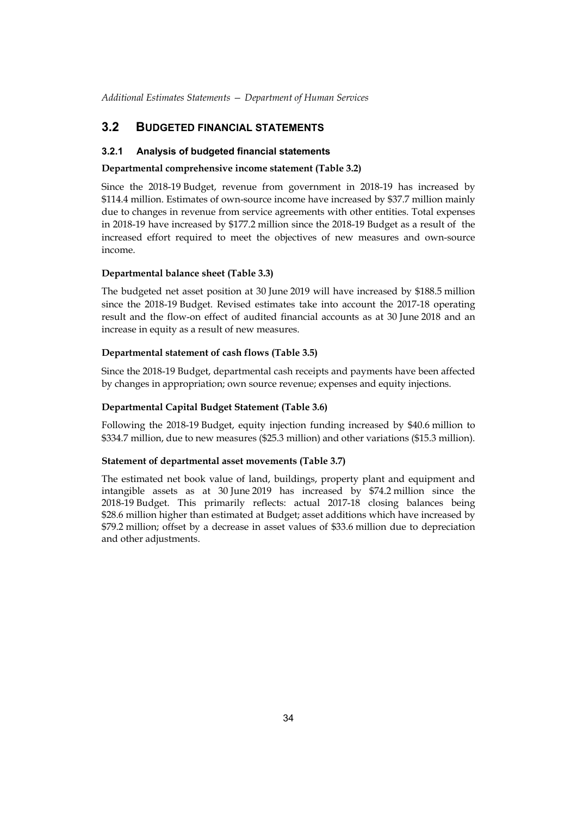## **3.2 BUDGETED FINANCIAL STATEMENTS**

### **3.2.1 Analysis of budgeted financial statements**

## **Departmental comprehensive income statement (Table 3.2)**

Since the 2018-19 Budget, revenue from government in 2018-19 has increased by \$114.4 million. Estimates of own-source income have increased by \$37.7 million mainly due to changes in revenue from service agreements with other entities. Total expenses in 2018-19 have increased by \$177.2 million since the 2018-19 Budget as a result of the increased effort required to meet the objectives of new measures and own-source income.

## **Departmental balance sheet (Table 3.3)**

The budgeted net asset position at 30 June 2019 will have increased by \$188.5 million since the 2018-19 Budget. Revised estimates take into account the 2017-18 operating result and the flow-on effect of audited financial accounts as at 30 June 2018 and an increase in equity as a result of new measures.

### **Departmental statement of cash flows (Table 3.5)**

Since the 2018-19 Budget, departmental cash receipts and payments have been affected by changes in appropriation; own source revenue; expenses and equity injections.

### **Departmental Capital Budget Statement (Table 3.6)**

Following the 2018-19 Budget, equity injection funding increased by \$40.6 million to \$334.7 million, due to new measures (\$25.3 million) and other variations (\$15.3 million).

### **Statement of departmental asset movements (Table 3.7)**

The estimated net book value of land, buildings, property plant and equipment and intangible assets as at 30 June 2019 has increased by \$74.2 million since the 2018-19 Budget. This primarily reflects: actual 2017-18 closing balances being \$28.6 million higher than estimated at Budget; asset additions which have increased by \$79.2 million; offset by a decrease in asset values of \$33.6 million due to depreciation and other adjustments.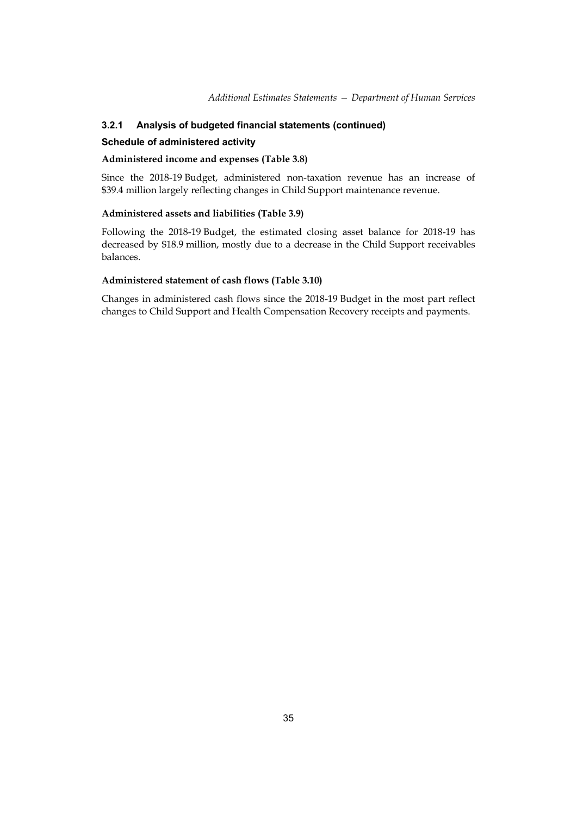## **3.2.1 Analysis of budgeted financial statements (continued)**

### **Schedule of administered activity**

### **Administered income and expenses (Table 3.8)**

Since the 2018-19 Budget, administered non-taxation revenue has an increase of \$39.4 million largely reflecting changes in Child Support maintenance revenue.

### **Administered assets and liabilities (Table 3.9)**

Following the 2018-19 Budget, the estimated closing asset balance for 2018-19 has decreased by \$18.9 million, mostly due to a decrease in the Child Support receivables balances.

### **Administered statement of cash flows (Table 3.10)**

Changes in administered cash flows since the 2018-19 Budget in the most part reflect changes to Child Support and Health Compensation Recovery receipts and payments.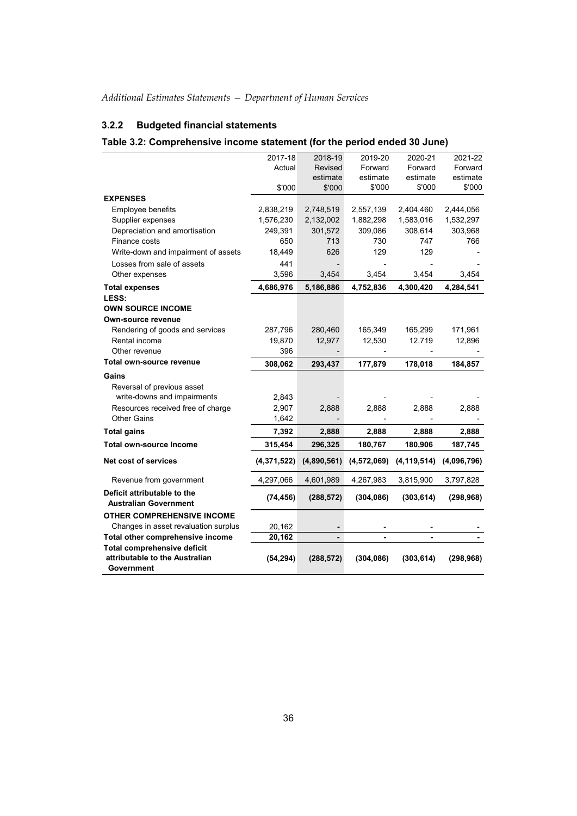## **3.2.2 Budgeted financial statements**

## **Table 3.2: Comprehensive income statement (for the period ended 30 June)**

|                                                             | 2017-18       | 2018-19        | 2019-20     | 2020-21       | 2021-22     |
|-------------------------------------------------------------|---------------|----------------|-------------|---------------|-------------|
|                                                             | Actual        | Revised        | Forward     | Forward       | Forward     |
|                                                             |               | estimate       | estimate    | estimate      | estimate    |
|                                                             | \$'000        | \$'000         | \$'000      | \$'000        | \$'000      |
| <b>EXPENSES</b>                                             |               |                |             |               |             |
| Employee benefits                                           | 2,838,219     | 2,748,519      | 2,557,139   | 2,404,460     | 2,444,056   |
| Supplier expenses                                           | 1,576,230     | 2,132,002      | 1,882,298   | 1,583,016     | 1,532,297   |
| Depreciation and amortisation                               | 249,391       | 301,572        | 309,086     | 308,614       | 303,968     |
| Finance costs                                               | 650           | 713            | 730         | 747           | 766         |
| Write-down and impairment of assets                         | 18,449        | 626            | 129         | 129           |             |
| Losses from sale of assets                                  | 441           |                |             |               |             |
| Other expenses                                              | 3,596         | 3,454          | 3,454       | 3,454         | 3,454       |
| <b>Total expenses</b>                                       | 4,686,976     | 5,186,886      | 4,752,836   | 4,300,420     | 4,284,541   |
| LESS:                                                       |               |                |             |               |             |
| <b>OWN SOURCE INCOME</b>                                    |               |                |             |               |             |
| Own-source revenue                                          |               |                |             |               |             |
| Rendering of goods and services                             | 287,796       | 280,460        | 165,349     | 165,299       | 171,961     |
| Rental income                                               | 19,870        | 12,977         | 12,530      | 12,719        | 12,896      |
| Other revenue                                               | 396           |                |             |               |             |
| Total own-source revenue                                    | 308,062       | 293,437        | 177,879     | 178,018       | 184,857     |
| Gains                                                       |               |                |             |               |             |
| Reversal of previous asset                                  |               |                |             |               |             |
| write-downs and impairments                                 | 2,843         |                |             |               |             |
| Resources received free of charge                           | 2,907         | 2,888          | 2,888       | 2,888         | 2,888       |
| <b>Other Gains</b>                                          | 1,642         |                |             |               |             |
| <b>Total gains</b>                                          | 7,392         | 2,888          | 2,888       | 2,888         | 2,888       |
| <b>Total own-source Income</b>                              | 315,454       | 296,325        | 180,767     | 180,906       | 187,745     |
| Net cost of services                                        | (4, 371, 522) | (4,890,561)    | (4,572,069) | (4, 119, 514) | (4,096,796) |
| Revenue from government                                     | 4,297,066     | 4,601,989      | 4,267,983   | 3,815,900     | 3,797,828   |
| Deficit attributable to the<br><b>Australian Government</b> | (74, 456)     | (288, 572)     | (304, 086)  | (303, 614)    | (298, 968)  |
| <b>OTHER COMPREHENSIVE INCOME</b>                           |               |                |             |               |             |
| Changes in asset revaluation surplus                        | 20,162        |                |             |               |             |
| Total other comprehensive income                            | 20,162        | $\blacksquare$ |             |               |             |
| <b>Total comprehensive deficit</b>                          |               |                |             |               |             |
| attributable to the Australian<br>Government                | (54, 294)     | (288, 572)     | (304, 086)  | (303, 614)    | (298, 968)  |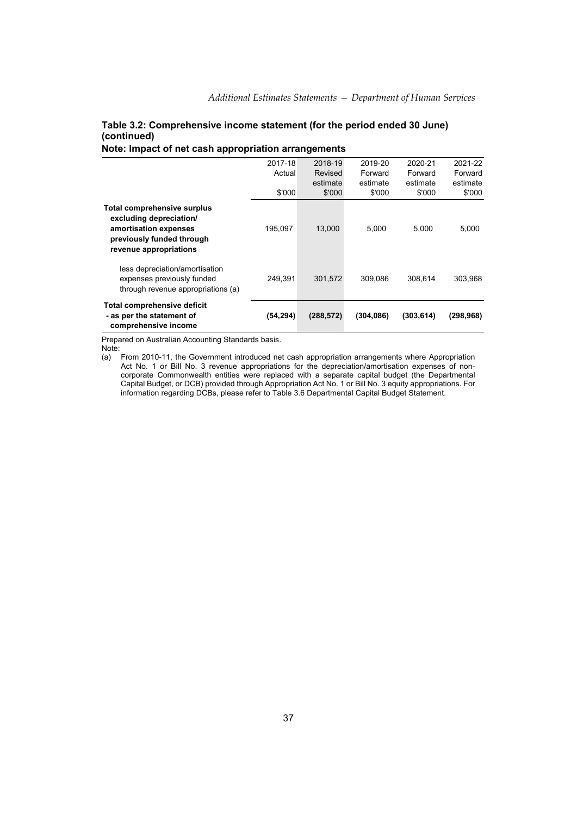## **Table 3.2: Comprehensive income statement (for the period ended 30 June) (continued)**

## **Note: Impact of net cash appropriation arrangements**

|                                                                                                                                               | 2017-18<br>Actual | 2018-19<br>Revised<br>estimate | 2019-20<br>Forward<br>estimate | 2020-21<br>Forward<br>estimate | 2021-22<br>Forward<br>estimate |
|-----------------------------------------------------------------------------------------------------------------------------------------------|-------------------|--------------------------------|--------------------------------|--------------------------------|--------------------------------|
|                                                                                                                                               | \$'000            | \$'000                         | \$'000                         | \$'000                         | \$'000                         |
| <b>Total comprehensive surplus</b><br>excluding depreciation/<br>amortisation expenses<br>previously funded through<br>revenue appropriations | 195.097           | 13.000                         | 5,000                          | 5.000                          | 5,000                          |
| less depreciation/amortisation<br>expenses previously funded<br>through revenue appropriations (a)                                            | 249.391           | 301,572                        | 309.086                        | 308.614                        | 303.968                        |
| Total comprehensive deficit<br>- as per the statement of<br>comprehensive income                                                              | (54, 294)         | (288, 572)                     | (304, 086)                     | (303, 614)                     | (298, 968)                     |

Prepared on Australian Accounting Standards basis.

Note:

(a) From 2010-11, the Government introduced net cash appropriation arrangements where Appropriation Act No. 1 or Bill No. 3 revenue appropriations for the depreciation/amortisation expenses of noncorporate Commonwealth entities were replaced with a separate capital budget (the Departmental Capital Budget, or DCB) provided through Appropriation Act No. 1 or Bill No. 3 equity appropriations. For information regarding DCBs, please refer to Table 3.6 Departmental Capital Budget Statement.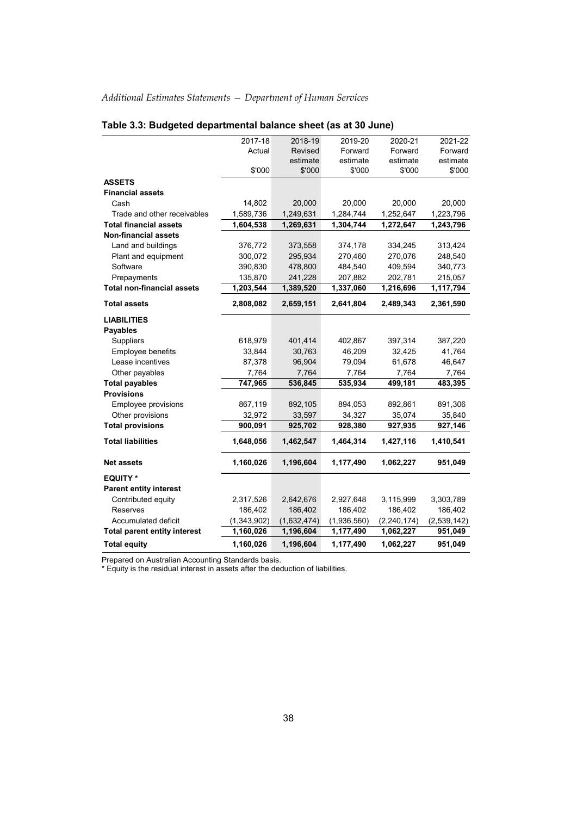|                                     | 2017-18     | 2018-19     | 2019-20     | 2020-21       | 2021-22     |
|-------------------------------------|-------------|-------------|-------------|---------------|-------------|
|                                     | Actual      | Revised     | Forward     | Forward       | Forward     |
|                                     |             | estimate    | estimate    | estimate      | estimate    |
|                                     | \$'000      | \$'000      | \$'000      | \$'000        | \$'000      |
| <b>ASSETS</b>                       |             |             |             |               |             |
| <b>Financial assets</b>             |             |             |             |               |             |
| Cash                                | 14,802      | 20,000      | 20,000      | 20,000        | 20,000      |
| Trade and other receivables         | 1,589,736   | 1,249,631   | 1,284,744   | 1,252,647     | 1,223,796   |
| <b>Total financial assets</b>       | 1,604,538   | 1,269,631   | 1,304,744   | 1,272,647     | 1,243,796   |
| <b>Non-financial assets</b>         |             |             |             |               |             |
| Land and buildings                  | 376,772     | 373,558     | 374,178     | 334,245       | 313,424     |
| Plant and equipment                 | 300,072     | 295,934     | 270,460     | 270,076       | 248,540     |
| Software                            | 390,830     | 478,800     | 484,540     | 409,594       | 340,773     |
| Prepayments                         | 135,870     | 241,228     | 207,882     | 202,781       | 215,057     |
| <b>Total non-financial assets</b>   | 1,203,544   | 1,389,520   | 1,337,060   | 1,216,696     | 1,117,794   |
| <b>Total assets</b>                 | 2,808,082   | 2,659,151   | 2,641,804   | 2,489,343     | 2,361,590   |
| <b>LIABILITIES</b>                  |             |             |             |               |             |
| <b>Payables</b>                     |             |             |             |               |             |
| <b>Suppliers</b>                    | 618,979     | 401,414     | 402,867     | 397,314       | 387,220     |
| Employee benefits                   | 33,844      | 30,763      | 46,209      | 32,425        | 41,764      |
| Lease incentives                    | 87,378      | 96,904      | 79,094      | 61,678        | 46,647      |
| Other payables                      | 7,764       | 7,764       | 7,764       | 7,764         | 7,764       |
| <b>Total payables</b>               | 747,965     | 536,845     | 535,934     | 499,181       | 483,395     |
| <b>Provisions</b>                   |             |             |             |               |             |
| Employee provisions                 | 867,119     | 892,105     | 894,053     | 892,861       | 891,306     |
| Other provisions                    | 32,972      | 33,597      | 34,327      | 35,074        | 35,840      |
| <b>Total provisions</b>             | 900,091     | 925,702     | 928,380     | 927,935       | 927,146     |
| <b>Total liabilities</b>            | 1,648,056   | 1,462,547   | 1,464,314   | 1,427,116     | 1,410,541   |
| <b>Net assets</b>                   | 1,160,026   | 1,196,604   | 1,177,490   | 1,062,227     | 951,049     |
| <b>EQUITY *</b>                     |             |             |             |               |             |
| <b>Parent entity interest</b>       |             |             |             |               |             |
| Contributed equity                  | 2,317,526   | 2,642,676   | 2,927,648   | 3,115,999     | 3,303,789   |
| Reserves                            | 186,402     | 186,402     | 186,402     | 186,402       | 186,402     |
| Accumulated deficit                 | (1,343,902) | (1,632,474) | (1,936,560) | (2, 240, 174) | (2,539,142) |
| <b>Total parent entity interest</b> | 1,160,026   | 1,196,604   | 1,177,490   | 1,062,227     | 951,049     |
| <b>Total equity</b>                 | 1,160,026   | 1,196,604   | 1,177,490   | 1,062,227     | 951,049     |

## **Table 3.3: Budgeted departmental balance sheet (as at 30 June)**

Prepared on Australian Accounting Standards basis.

\* Equity is the residual interest in assets after the deduction of liabilities.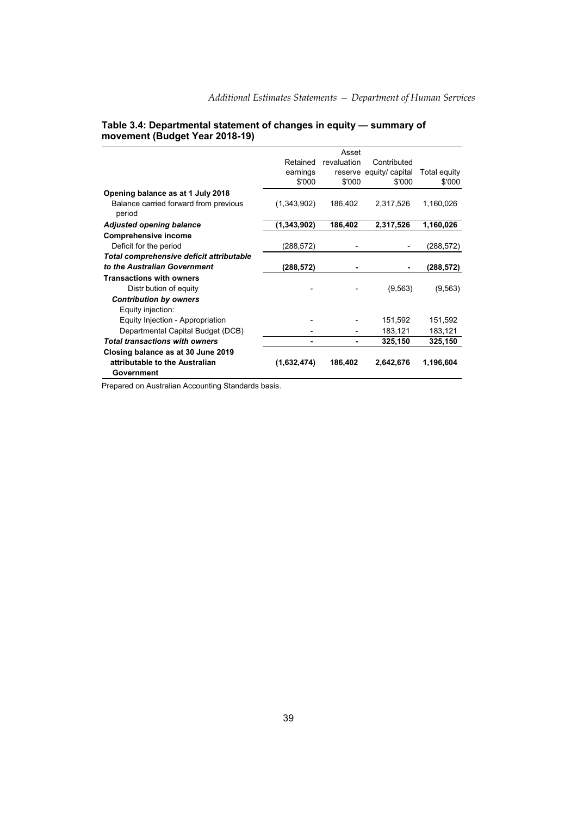## **Table 3.4: Departmental statement of changes in equity — summary of movement (Budget Year 2018-19)**

|                                                 |             | Asset       |                         |              |
|-------------------------------------------------|-------------|-------------|-------------------------|--------------|
|                                                 | Retained    | revaluation | Contributed             |              |
|                                                 | earnings    |             | reserve equity/ capital | Total equity |
|                                                 | \$'000      | \$'000      | \$'000                  | \$'000       |
| Opening balance as at 1 July 2018               |             |             |                         |              |
| Balance carried forward from previous<br>period | (1,343,902) | 186,402     | 2,317,526               | 1,160,026    |
| <b>Adjusted opening balance</b>                 | (1,343,902) | 186,402     | 2,317,526               | 1,160,026    |
| <b>Comprehensive income</b>                     |             |             |                         |              |
| Deficit for the period                          | (288,572)   |             |                         | (288,572)    |
| Total comprehensive deficit attributable        |             |             |                         |              |
| to the Australian Government                    | (288,572)   |             |                         | (288,572)    |
| <b>Transactions with owners</b>                 |             |             |                         |              |
| Distr bution of equity                          |             |             | (9, 563)                | (9, 563)     |
| <b>Contribution by owners</b>                   |             |             |                         |              |
| Equity injection:                               |             |             |                         |              |
| Equity Injection - Appropriation                |             |             | 151,592                 | 151,592      |
| Departmental Capital Budget (DCB)               |             |             | 183,121                 | 183,121      |
| <b>Total transactions with owners</b>           |             |             | 325,150                 | 325,150      |
| Closing balance as at 30 June 2019              |             |             |                         |              |
| attributable to the Australian                  | (1,632,474) | 186,402     | 2,642,676               | 1,196,604    |
| Government                                      |             |             |                         |              |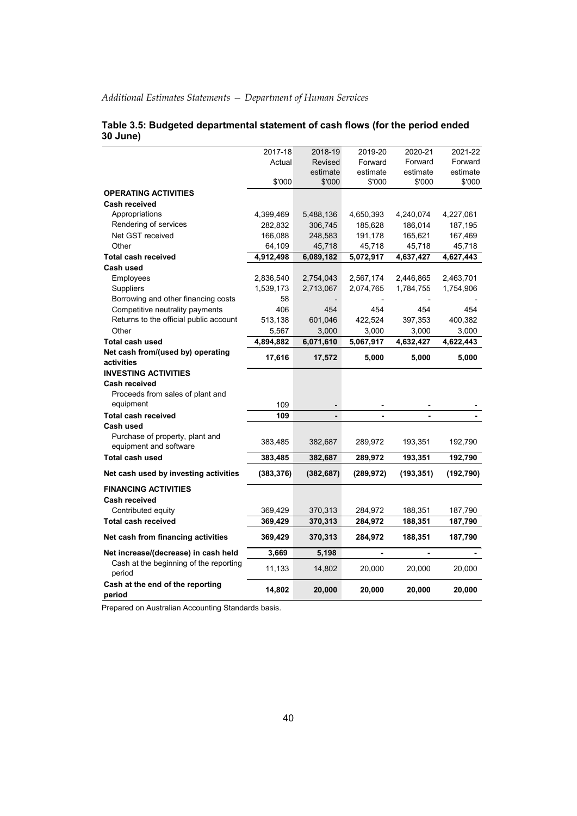|                                                  | 2017-18    | 2018-19    | 2019-20    | 2020-21    | 2021-22   |
|--------------------------------------------------|------------|------------|------------|------------|-----------|
|                                                  | Actual     | Revised    | Forward    | Forward    | Forward   |
|                                                  |            | estimate   | estimate   | estimate   | estimate  |
|                                                  | \$'000     | \$'000     | \$'000     | \$'000     | \$'000    |
| <b>OPERATING ACTIVITIES</b>                      |            |            |            |            |           |
| <b>Cash received</b>                             |            |            |            |            |           |
| Appropriations                                   | 4,399,469  | 5,488,136  | 4,650,393  | 4,240,074  | 4,227,061 |
| Rendering of services                            | 282,832    | 306,745    | 185,628    | 186,014    | 187,195   |
| Net GST received                                 | 166,088    | 248,583    | 191,178    | 165,621    | 167,469   |
| Other                                            | 64,109     | 45,718     | 45,718     | 45,718     | 45,718    |
| <b>Total cash received</b>                       | 4,912,498  | 6,089,182  | 5,072,917  | 4,637,427  | 4,627,443 |
| Cash used                                        |            |            |            |            |           |
| Employees                                        | 2,836,540  | 2,754,043  | 2,567,174  | 2,446,865  | 2,463,701 |
| Suppliers                                        | 1,539,173  | 2,713,067  | 2,074,765  | 1,784,755  | 1,754,906 |
| Borrowing and other financing costs              | 58         |            |            |            |           |
| Competitive neutrality payments                  | 406        | 454        | 454        | 454        | 454       |
| Returns to the official public account           | 513,138    | 601,046    | 422,524    | 397,353    | 400,382   |
| Other                                            | 5,567      | 3,000      | 3,000      | 3,000      | 3,000     |
| <b>Total cash used</b>                           | 4,894,882  | 6,071,610  | 5,067,917  | 4,632,427  | 4,622,443 |
| Net cash from/(used by) operating                |            |            |            |            |           |
| activities                                       | 17,616     | 17,572     | 5,000      | 5,000      | 5,000     |
| <b>INVESTING ACTIVITIES</b>                      |            |            |            |            |           |
| <b>Cash received</b>                             |            |            |            |            |           |
| Proceeds from sales of plant and                 |            |            |            |            |           |
| equipment                                        | 109        |            |            |            |           |
| <b>Total cash received</b>                       | 109        |            |            |            |           |
| Cash used                                        |            |            |            |            |           |
| Purchase of property, plant and                  |            |            |            |            |           |
| equipment and software                           | 383,485    | 382,687    | 289,972    | 193,351    | 192,790   |
| <b>Total cash used</b>                           | 383,485    | 382,687    | 289,972    | 193,351    | 192,790   |
| Net cash used by investing activities            | (383, 376) | (382, 687) | (289, 972) | (193, 351) | (192,790) |
| <b>FINANCING ACTIVITIES</b>                      |            |            |            |            |           |
| Cash received                                    |            |            |            |            |           |
| Contributed equity                               | 369,429    | 370,313    | 284,972    | 188,351    | 187,790   |
| <b>Total cash received</b>                       | 369,429    | 370,313    | 284,972    | 188,351    | 187,790   |
| Net cash from financing activities               | 369,429    | 370,313    | 284,972    | 188,351    | 187,790   |
|                                                  |            |            |            |            |           |
| Net increase/(decrease) in cash held             | 3,669      | 5,198      |            |            |           |
| Cash at the beginning of the reporting<br>period | 11,133     | 14,802     | 20,000     | 20,000     | 20,000    |
| Cash at the end of the reporting<br>period       | 14,802     | 20,000     | 20,000     | 20,000     | 20,000    |

### **Table 3.5: Budgeted departmental statement of cash flows (for the period ended 30 June)**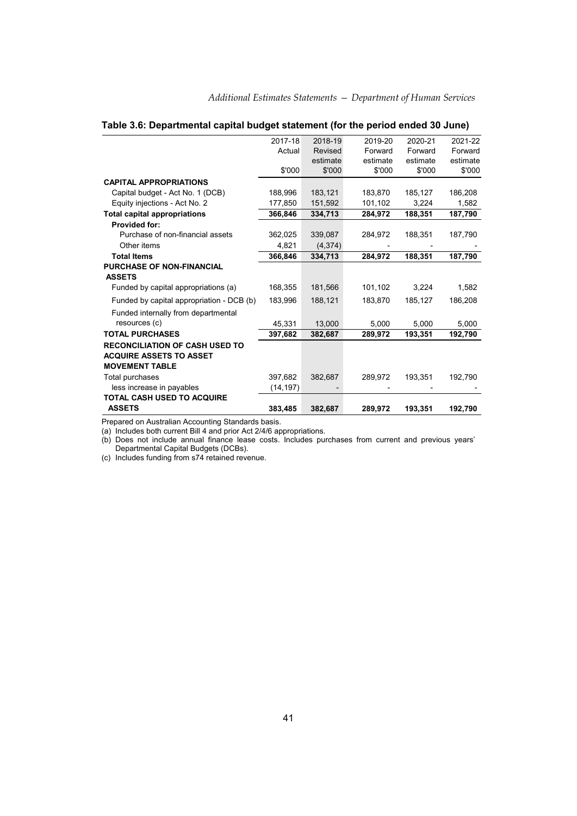|                                           | 2017-18   | 2018-19  | 2019-20  | 2020-21  | 2021-22  |
|-------------------------------------------|-----------|----------|----------|----------|----------|
|                                           | Actual    | Revised  | Forward  | Forward  | Forward  |
|                                           |           | estimate | estimate | estimate | estimate |
|                                           | \$'000    | \$'000   | \$'000   | \$'000   | \$'000   |
| <b>CAPITAL APPROPRIATIONS</b>             |           |          |          |          |          |
| Capital budget - Act No. 1 (DCB)          | 188,996   | 183,121  | 183,870  | 185,127  | 186,208  |
| Equity injections - Act No. 2             | 177,850   | 151,592  | 101,102  | 3,224    | 1,582    |
| <b>Total capital appropriations</b>       | 366,846   | 334,713  | 284,972  | 188,351  | 187,790  |
| <b>Provided for:</b>                      |           |          |          |          |          |
| Purchase of non-financial assets          | 362,025   | 339,087  | 284,972  | 188,351  | 187,790  |
| Other items                               | 4,821     | (4, 374) |          |          |          |
| <b>Total Items</b>                        | 366,846   | 334,713  | 284.972  | 188,351  | 187,790  |
| <b>PURCHASE OF NON-FINANCIAL</b>          |           |          |          |          |          |
| <b>ASSETS</b>                             |           |          |          |          |          |
| Funded by capital appropriations (a)      | 168,355   | 181,566  | 101,102  | 3,224    | 1,582    |
| Funded by capital appropriation - DCB (b) | 183.996   | 188,121  | 183.870  | 185,127  | 186,208  |
| Funded internally from departmental       |           |          |          |          |          |
| resources (c)                             | 45.331    | 13,000   | 5,000    | 5,000    | 5,000    |
| <b>TOTAL PURCHASES</b>                    | 397,682   | 382,687  | 289,972  | 193,351  | 192,790  |
| <b>RECONCILIATION OF CASH USED TO</b>     |           |          |          |          |          |
| <b>ACQUIRE ASSETS TO ASSET</b>            |           |          |          |          |          |
| <b>MOVEMENT TABLE</b>                     |           |          |          |          |          |
| Total purchases                           | 397,682   | 382,687  | 289,972  | 193,351  | 192,790  |
| less increase in payables                 | (14, 197) |          |          |          |          |
| <b>TOTAL CASH USED TO ACQUIRE</b>         |           |          |          |          |          |
| <b>ASSETS</b>                             | 383.485   | 382,687  | 289,972  | 193,351  | 192,790  |

## **Table 3.6: Departmental capital budget statement (for the period ended 30 June)**

Prepared on Australian Accounting Standards basis.

(a) Includes both current Bill 4 and prior Act 2/4/6 appropriations.

(b) Does not include annual finance lease costs. Includes purchases from current and previous years' Departmental Capital Budgets (DCBs).

(c) Includes funding from s74 retained revenue.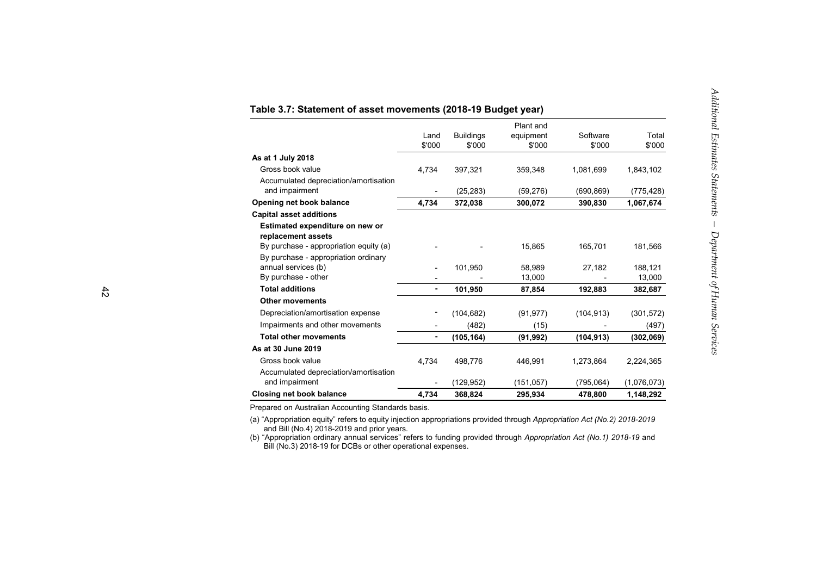|                                                       | Land<br>\$'000           | <b>Buildings</b><br>\$'000 | Plant and<br>equipment<br>\$'000 | Software<br>\$'000 | Total<br>\$'000 |
|-------------------------------------------------------|--------------------------|----------------------------|----------------------------------|--------------------|-----------------|
| As at 1 July 2018                                     |                          |                            |                                  |                    |                 |
| Gross book value                                      | 4,734                    | 397,321                    | 359,348                          | 1,081,699          | 1,843,102       |
| Accumulated depreciation/amortisation                 |                          |                            |                                  |                    |                 |
| and impairment                                        | $\blacksquare$           | (25, 283)                  | (59, 276)                        | (690, 869)         | (775, 428)      |
| Opening net book balance                              | 4,734                    | 372,038                    | 300,072                          | 390,830            | 1,067,674       |
| <b>Capital asset additions</b>                        |                          |                            |                                  |                    |                 |
| Estimated expenditure on new or<br>replacement assets |                          |                            |                                  |                    |                 |
| By purchase - appropriation equity (a)                |                          |                            | 15,865                           | 165,701            | 181,566         |
| By purchase - appropriation ordinary                  |                          |                            |                                  |                    |                 |
| annual services (b)                                   | $\overline{\phantom{0}}$ | 101,950                    | 58,989                           | 27,182             | 188,121         |
| By purchase - other                                   |                          |                            | 13,000                           |                    | 13,000          |
| <b>Total additions</b>                                | ٠                        | 101,950                    | 87,854                           | 192,883            | 382,687         |
| <b>Other movements</b>                                |                          |                            |                                  |                    |                 |
| Depreciation/amortisation expense                     |                          | (104, 682)                 | (91, 977)                        | (104, 913)         | (301, 572)      |
| Impairments and other movements                       |                          | (482)                      | (15)                             |                    | (497)           |
| <b>Total other movements</b>                          | ۰                        | (105, 164)                 | (91, 992)                        | (104, 913)         | (302,069)       |
| As at 30 June 2019                                    |                          |                            |                                  |                    |                 |
| Gross book value                                      | 4,734                    | 498,776                    | 446,991                          | 1,273,864          | 2,224,365       |
| Accumulated depreciation/amortisation                 |                          |                            |                                  |                    |                 |
| and impairment                                        |                          | (129,952)                  | (151,057)                        | (795,064)          | (1,076,073)     |
| <b>Closing net book balance</b>                       | 4,734                    | 368,824                    | 295,934                          | 478,800            | 1,148,292       |

### **Table 3.7: Statement of asset movements (2018-19 Budget year)**

Prepared on Australian Accounting Standards basis.

(a) "Appropriation equity" refers to equity injection appropriations provided through *Appropriation Act (No.2) 2018-2019* and Bill (No.4) 2018-2019 and prior years.

(b) "Appropriation ordinary annual services" refers to funding provided through *Appropriation Act (No.1) 2018-19* and Bill (No.3) 2018-19 for DCBs or other operational expenses.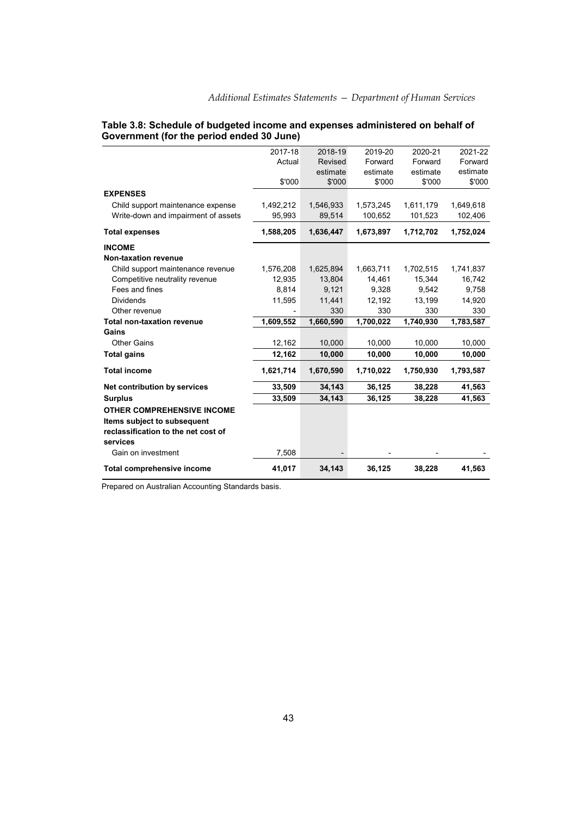|                                     | 2017-18   | 2018-19   | 2019-20   | 2020-21   | 2021-22   |
|-------------------------------------|-----------|-----------|-----------|-----------|-----------|
|                                     | Actual    | Revised   | Forward   | Forward   | Forward   |
|                                     |           | estimate  | estimate  | estimate  | estimate  |
|                                     | \$'000    | \$'000    | \$'000    | \$'000    | \$'000    |
| <b>EXPENSES</b>                     |           |           |           |           |           |
| Child support maintenance expense   | 1,492,212 | 1,546,933 | 1,573,245 | 1,611,179 | 1,649,618 |
| Write-down and impairment of assets | 95,993    | 89,514    | 100,652   | 101,523   | 102,406   |
| <b>Total expenses</b>               | 1,588,205 | 1,636,447 | 1,673,897 | 1,712,702 | 1,752,024 |
| <b>INCOME</b>                       |           |           |           |           |           |
| Non-taxation revenue                |           |           |           |           |           |
| Child support maintenance revenue   | 1,576,208 | 1,625,894 | 1,663,711 | 1,702,515 | 1,741,837 |
| Competitive neutrality revenue      | 12,935    | 13.804    | 14,461    | 15,344    | 16,742    |
| Fees and fines                      | 8,814     | 9,121     | 9,328     | 9,542     | 9,758     |
| <b>Dividends</b>                    | 11,595    | 11.441    | 12.192    | 13,199    | 14,920    |
| Other revenue                       |           | 330       | 330       | 330       | 330       |
| <b>Total non-taxation revenue</b>   | 1,609,552 | 1,660,590 | 1,700,022 | 1,740,930 | 1,783,587 |
| Gains                               |           |           |           |           |           |
| <b>Other Gains</b>                  | 12,162    | 10,000    | 10,000    | 10,000    | 10,000    |
| <b>Total gains</b>                  | 12,162    | 10,000    | 10,000    | 10,000    | 10,000    |
| <b>Total income</b>                 | 1,621,714 | 1,670,590 | 1,710,022 | 1,750,930 | 1,793,587 |
| Net contribution by services        | 33,509    | 34,143    | 36,125    | 38,228    | 41,563    |
| <b>Surplus</b>                      | 33,509    | 34,143    | 36,125    | 38,228    | 41,563    |
| <b>OTHER COMPREHENSIVE INCOME</b>   |           |           |           |           |           |
| Items subject to subsequent         |           |           |           |           |           |
| reclassification to the net cost of |           |           |           |           |           |
| services                            |           |           |           |           |           |
| Gain on investment                  | 7,508     |           |           |           |           |
| <b>Total comprehensive income</b>   | 41,017    | 34,143    | 36,125    | 38,228    | 41,563    |

### **Table 3.8: Schedule of budgeted income and expenses administered on behalf of Government (for the period ended 30 June)**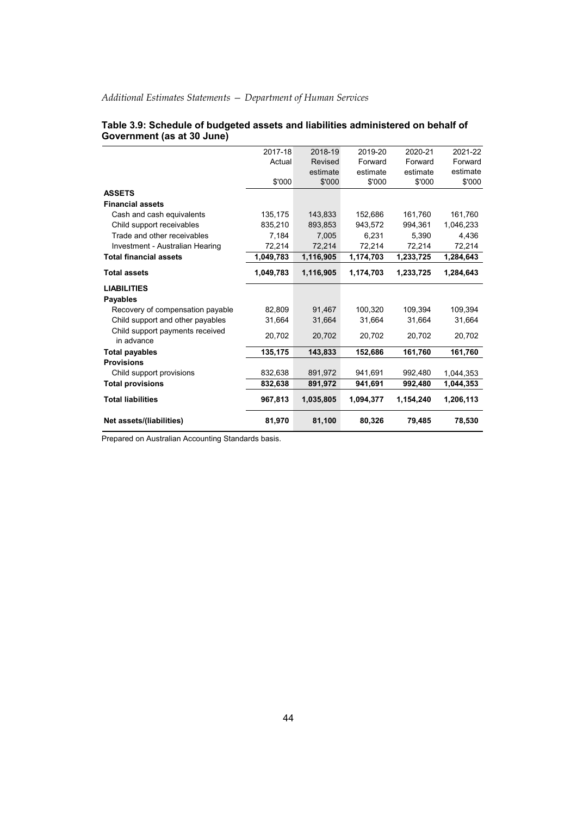| 2017-18<br>2018-19<br>2020-21<br>2019-20<br>Forward<br>Forward<br>Actual<br>Revised<br>estimate<br>estimate<br>estimate<br>\$'000<br>\$'000<br>\$'000<br>\$'000<br><b>ASSETS</b><br><b>Financial assets</b><br>143,833<br>Cash and cash equivalents<br>135,175<br>152,686<br>161,760<br>835,210<br>893,853<br>943,572<br>994,361<br>Child support receivables<br>Trade and other receivables<br>7,184<br>7.005<br>6,231<br>5.390<br>72,214<br>72,214<br>72,214<br>Investment - Australian Hearing<br>72,214<br><b>Total financial assets</b><br>1,049,783<br>1,116,905<br>1,174,703<br>1,233,725<br><b>Total assets</b><br>1,049,783<br>1,116,905<br>1,174,703<br>1,233,725<br><b>LIABILITIES</b><br><b>Payables</b><br>82,809<br>91,467<br>100,320<br>109.394<br>Recovery of compensation payable<br>Child support and other payables<br>31,664<br>31,664<br>31,664<br>31,664<br>Child support payments received<br>20,702<br>20,702<br>20,702<br>20,702<br>in advance<br>135,175<br>143,833<br>152,686<br>161,760<br><b>Total payables</b><br><b>Provisions</b><br>832,638<br>891,972<br>941,691<br>992,480<br>Child support provisions<br><b>Total provisions</b><br>832,638<br>891,972<br>941,691<br>992,480 |  |  | 2021-22<br>Forward<br>estimate<br>\$'000 |
|------------------------------------------------------------------------------------------------------------------------------------------------------------------------------------------------------------------------------------------------------------------------------------------------------------------------------------------------------------------------------------------------------------------------------------------------------------------------------------------------------------------------------------------------------------------------------------------------------------------------------------------------------------------------------------------------------------------------------------------------------------------------------------------------------------------------------------------------------------------------------------------------------------------------------------------------------------------------------------------------------------------------------------------------------------------------------------------------------------------------------------------------------------------------------------------------------------------|--|--|------------------------------------------|
|                                                                                                                                                                                                                                                                                                                                                                                                                                                                                                                                                                                                                                                                                                                                                                                                                                                                                                                                                                                                                                                                                                                                                                                                                  |  |  |                                          |
|                                                                                                                                                                                                                                                                                                                                                                                                                                                                                                                                                                                                                                                                                                                                                                                                                                                                                                                                                                                                                                                                                                                                                                                                                  |  |  |                                          |
|                                                                                                                                                                                                                                                                                                                                                                                                                                                                                                                                                                                                                                                                                                                                                                                                                                                                                                                                                                                                                                                                                                                                                                                                                  |  |  |                                          |
|                                                                                                                                                                                                                                                                                                                                                                                                                                                                                                                                                                                                                                                                                                                                                                                                                                                                                                                                                                                                                                                                                                                                                                                                                  |  |  |                                          |
|                                                                                                                                                                                                                                                                                                                                                                                                                                                                                                                                                                                                                                                                                                                                                                                                                                                                                                                                                                                                                                                                                                                                                                                                                  |  |  |                                          |
|                                                                                                                                                                                                                                                                                                                                                                                                                                                                                                                                                                                                                                                                                                                                                                                                                                                                                                                                                                                                                                                                                                                                                                                                                  |  |  |                                          |
|                                                                                                                                                                                                                                                                                                                                                                                                                                                                                                                                                                                                                                                                                                                                                                                                                                                                                                                                                                                                                                                                                                                                                                                                                  |  |  | 161,760                                  |
|                                                                                                                                                                                                                                                                                                                                                                                                                                                                                                                                                                                                                                                                                                                                                                                                                                                                                                                                                                                                                                                                                                                                                                                                                  |  |  | 1,046,233                                |
|                                                                                                                                                                                                                                                                                                                                                                                                                                                                                                                                                                                                                                                                                                                                                                                                                                                                                                                                                                                                                                                                                                                                                                                                                  |  |  | 4,436                                    |
|                                                                                                                                                                                                                                                                                                                                                                                                                                                                                                                                                                                                                                                                                                                                                                                                                                                                                                                                                                                                                                                                                                                                                                                                                  |  |  | 72,214                                   |
|                                                                                                                                                                                                                                                                                                                                                                                                                                                                                                                                                                                                                                                                                                                                                                                                                                                                                                                                                                                                                                                                                                                                                                                                                  |  |  | 1,284,643                                |
|                                                                                                                                                                                                                                                                                                                                                                                                                                                                                                                                                                                                                                                                                                                                                                                                                                                                                                                                                                                                                                                                                                                                                                                                                  |  |  | 1,284,643                                |
|                                                                                                                                                                                                                                                                                                                                                                                                                                                                                                                                                                                                                                                                                                                                                                                                                                                                                                                                                                                                                                                                                                                                                                                                                  |  |  |                                          |
|                                                                                                                                                                                                                                                                                                                                                                                                                                                                                                                                                                                                                                                                                                                                                                                                                                                                                                                                                                                                                                                                                                                                                                                                                  |  |  |                                          |
|                                                                                                                                                                                                                                                                                                                                                                                                                                                                                                                                                                                                                                                                                                                                                                                                                                                                                                                                                                                                                                                                                                                                                                                                                  |  |  | 109,394                                  |
|                                                                                                                                                                                                                                                                                                                                                                                                                                                                                                                                                                                                                                                                                                                                                                                                                                                                                                                                                                                                                                                                                                                                                                                                                  |  |  | 31,664                                   |
|                                                                                                                                                                                                                                                                                                                                                                                                                                                                                                                                                                                                                                                                                                                                                                                                                                                                                                                                                                                                                                                                                                                                                                                                                  |  |  |                                          |
|                                                                                                                                                                                                                                                                                                                                                                                                                                                                                                                                                                                                                                                                                                                                                                                                                                                                                                                                                                                                                                                                                                                                                                                                                  |  |  | 20,702                                   |
|                                                                                                                                                                                                                                                                                                                                                                                                                                                                                                                                                                                                                                                                                                                                                                                                                                                                                                                                                                                                                                                                                                                                                                                                                  |  |  | 161,760                                  |
|                                                                                                                                                                                                                                                                                                                                                                                                                                                                                                                                                                                                                                                                                                                                                                                                                                                                                                                                                                                                                                                                                                                                                                                                                  |  |  |                                          |
|                                                                                                                                                                                                                                                                                                                                                                                                                                                                                                                                                                                                                                                                                                                                                                                                                                                                                                                                                                                                                                                                                                                                                                                                                  |  |  | 1,044,353                                |
| 967,813<br><b>Total liabilities</b><br>1,035,805<br>1,094,377<br>1,154,240                                                                                                                                                                                                                                                                                                                                                                                                                                                                                                                                                                                                                                                                                                                                                                                                                                                                                                                                                                                                                                                                                                                                       |  |  | 1,044,353                                |
| 81,970<br>81,100<br>Net assets/(liabilities)<br>80,326<br>79,485                                                                                                                                                                                                                                                                                                                                                                                                                                                                                                                                                                                                                                                                                                                                                                                                                                                                                                                                                                                                                                                                                                                                                 |  |  | 1,206,113                                |

### **Table 3.9: Schedule of budgeted assets and liabilities administered on behalf of Government (as at 30 June)**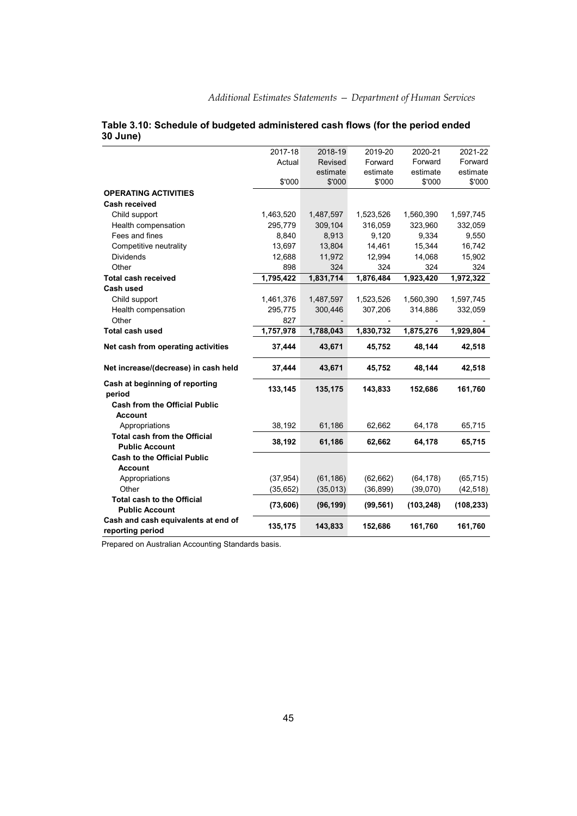|                                                | 2017-18   | 2018-19   | 2019-20   | 2020-21    | 2021-22    |
|------------------------------------------------|-----------|-----------|-----------|------------|------------|
|                                                | Actual    | Revised   | Forward   | Forward    | Forward    |
|                                                |           | estimate  | estimate  | estimate   | estimate   |
|                                                | \$'000    | \$'000    | \$'000    | \$'000     | \$'000     |
| <b>OPERATING ACTIVITIES</b>                    |           |           |           |            |            |
| <b>Cash received</b>                           |           |           |           |            |            |
| Child support                                  | 1,463,520 | 1,487,597 | 1,523,526 | 1,560,390  | 1,597,745  |
| Health compensation                            | 295,779   | 309,104   | 316,059   | 323,960    | 332,059    |
| Fees and fines                                 | 8,840     | 8,913     | 9,120     | 9,334      | 9,550      |
| Competitive neutrality                         | 13,697    | 13,804    | 14,461    | 15,344     | 16,742     |
| <b>Dividends</b>                               | 12,688    | 11,972    | 12,994    | 14,068     | 15,902     |
| Other                                          | 898       | 324       | 324       | 324        | 324        |
| <b>Total cash received</b>                     | 1,795,422 | 1,831,714 | 1,876,484 | 1,923,420  | 1,972,322  |
| Cash used                                      |           |           |           |            |            |
| Child support                                  | 1,461,376 | 1,487,597 | 1,523,526 | 1,560,390  | 1,597,745  |
| Health compensation                            | 295,775   | 300,446   | 307,206   | 314,886    | 332,059    |
| Other                                          | 827       |           |           |            |            |
| <b>Total cash used</b>                         | 1,757,978 | 1,788,043 | 1,830,732 | 1,875,276  | 1,929,804  |
| Net cash from operating activities             | 37,444    | 43,671    | 45,752    | 48,144     | 42,518     |
| Net increase/(decrease) in cash held           | 37,444    | 43,671    | 45,752    | 48,144     | 42,518     |
| Cash at beginning of reporting                 | 133,145   | 135,175   | 143,833   | 152,686    | 161,760    |
| period<br><b>Cash from the Official Public</b> |           |           |           |            |            |
| Account                                        |           |           |           |            |            |
| Appropriations                                 | 38,192    | 61,186    | 62,662    | 64,178     | 65,715     |
| <b>Total cash from the Official</b>            |           |           |           |            |            |
| <b>Public Account</b>                          | 38,192    | 61,186    | 62,662    | 64,178     | 65,715     |
| <b>Cash to the Official Public</b>             |           |           |           |            |            |
| <b>Account</b>                                 |           |           |           |            |            |
| Appropriations                                 | (37, 954) | (61, 186) | (62, 662) | (64, 178)  | (65, 715)  |
| Other                                          | (35, 652) | (35, 013) | (36, 899) | (39,070)   | (42, 518)  |
| <b>Total cash to the Official</b>              |           |           |           |            |            |
| <b>Public Account</b>                          | (73, 606) | (96, 199) | (99, 561) | (103, 248) | (108, 233) |
| Cash and cash equivalents at end of            |           |           |           |            |            |
| reporting period                               | 135,175   | 143,833   | 152,686   | 161,760    | 161,760    |

### **Table 3.10: Schedule of budgeted administered cash flows (for the period ended 30 June)**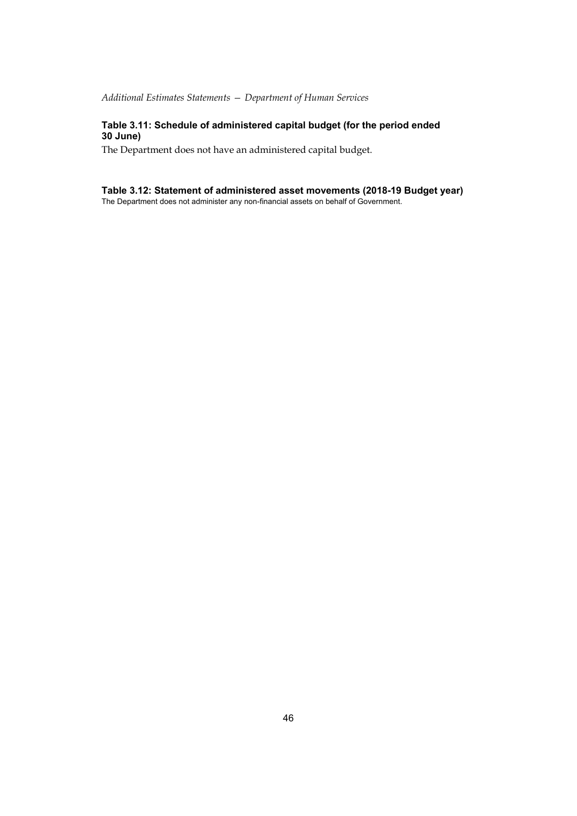## **Table 3.11: Schedule of administered capital budget (for the period ended 30 June)**

The Department does not have an administered capital budget.

### **Table 3.12: Statement of administered asset movements (2018-19 Budget year)**

The Department does not administer any non-financial assets on behalf of Government.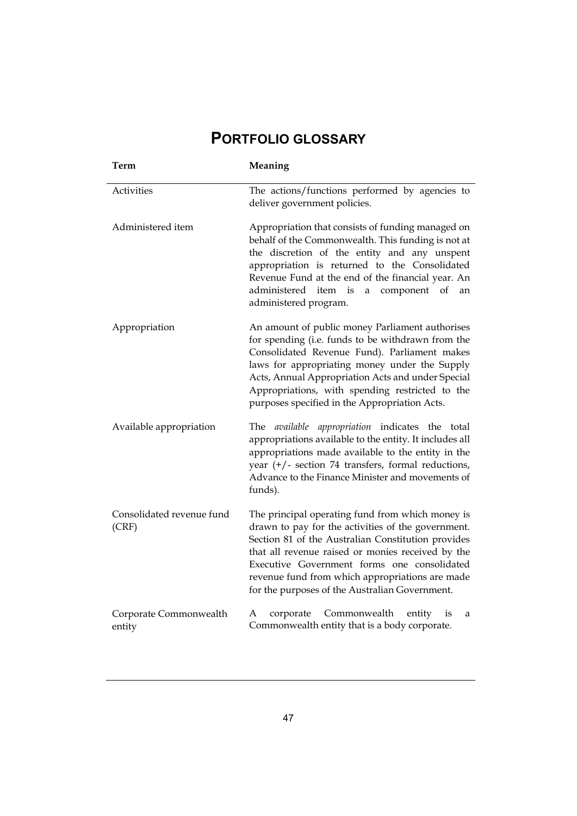## **PORTFOLIO GLOSSARY**

| Term                               | Meaning                                                                                                                                                                                                                                                                                                                                                               |
|------------------------------------|-----------------------------------------------------------------------------------------------------------------------------------------------------------------------------------------------------------------------------------------------------------------------------------------------------------------------------------------------------------------------|
| Activities                         | The actions/functions performed by agencies to<br>deliver government policies.                                                                                                                                                                                                                                                                                        |
| Administered item                  | Appropriation that consists of funding managed on<br>behalf of the Commonwealth. This funding is not at<br>the discretion of the entity and any unspent<br>appropriation is returned to the Consolidated<br>Revenue Fund at the end of the financial year. An<br>administered item is a component<br>of<br>an<br>administered program.                                |
| Appropriation                      | An amount of public money Parliament authorises<br>for spending (i.e. funds to be withdrawn from the<br>Consolidated Revenue Fund). Parliament makes<br>laws for appropriating money under the Supply<br>Acts, Annual Appropriation Acts and under Special<br>Appropriations, with spending restricted to the<br>purposes specified in the Appropriation Acts.        |
| Available appropriation            | appropriation indicates the total<br>The <i>available</i><br>appropriations available to the entity. It includes all<br>appropriations made available to the entity in the<br>year $(+/-)$ section 74 transfers, formal reductions,<br>Advance to the Finance Minister and movements of<br>funds).                                                                    |
| Consolidated revenue fund<br>(CRF) | The principal operating fund from which money is<br>drawn to pay for the activities of the government.<br>Section 81 of the Australian Constitution provides<br>that all revenue raised or monies received by the<br>Executive Government forms one consolidated<br>revenue fund from which appropriations are made<br>for the purposes of the Australian Government. |
| Corporate Commonwealth<br>entity   | А<br>corporate<br>Commonwealth<br>entity<br>is<br>a<br>Commonwealth entity that is a body corporate.                                                                                                                                                                                                                                                                  |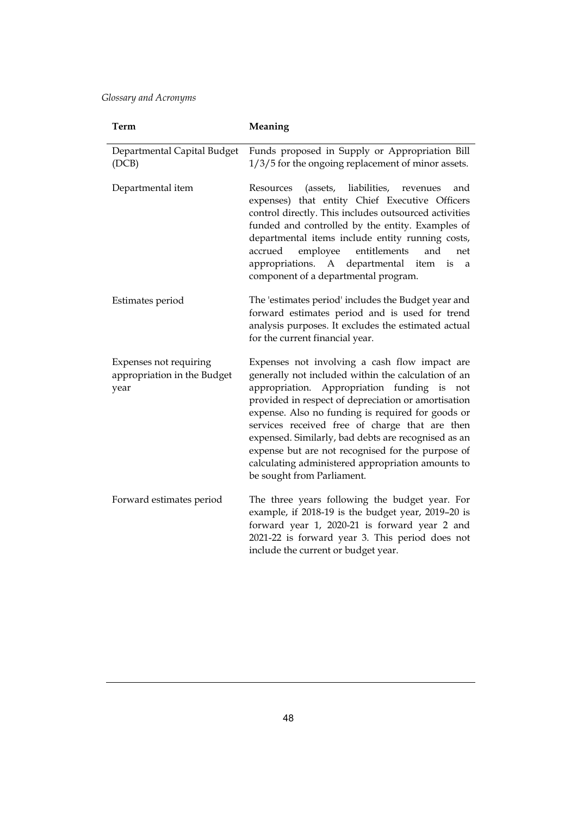| Term                                                          | Meaning                                                                                                                                                                                                                                                                                                                                                                                                                                                                                                             |
|---------------------------------------------------------------|---------------------------------------------------------------------------------------------------------------------------------------------------------------------------------------------------------------------------------------------------------------------------------------------------------------------------------------------------------------------------------------------------------------------------------------------------------------------------------------------------------------------|
| Departmental Capital Budget<br>(DCB)                          | Funds proposed in Supply or Appropriation Bill<br>1/3/5 for the ongoing replacement of minor assets.                                                                                                                                                                                                                                                                                                                                                                                                                |
| Departmental item                                             | liabilities,<br>Resources<br>(assets,<br>revenues<br>and<br>expenses) that entity Chief Executive Officers<br>control directly. This includes outsourced activities<br>funded and controlled by the entity. Examples of<br>departmental items include entity running costs,<br>accrued<br>entitlements<br>and<br>employee<br>net<br>departmental<br>appropriations.<br>A<br>item<br>is<br>a<br>component of a departmental program.                                                                                 |
| Estimates period                                              | The 'estimates period' includes the Budget year and<br>forward estimates period and is used for trend<br>analysis purposes. It excludes the estimated actual<br>for the current financial year.                                                                                                                                                                                                                                                                                                                     |
| Expenses not requiring<br>appropriation in the Budget<br>year | Expenses not involving a cash flow impact are<br>generally not included within the calculation of an<br>appropriation. Appropriation funding is<br>not<br>provided in respect of depreciation or amortisation<br>expense. Also no funding is required for goods or<br>services received free of charge that are then<br>expensed. Similarly, bad debts are recognised as an<br>expense but are not recognised for the purpose of<br>calculating administered appropriation amounts to<br>be sought from Parliament. |
| Forward estimates period                                      | The three years following the budget year. For<br>example, if 2018-19 is the budget year, 2019-20 is<br>forward year 1, 2020-21 is forward year 2 and<br>2021-22 is forward year 3. This period does not<br>include the current or budget year.                                                                                                                                                                                                                                                                     |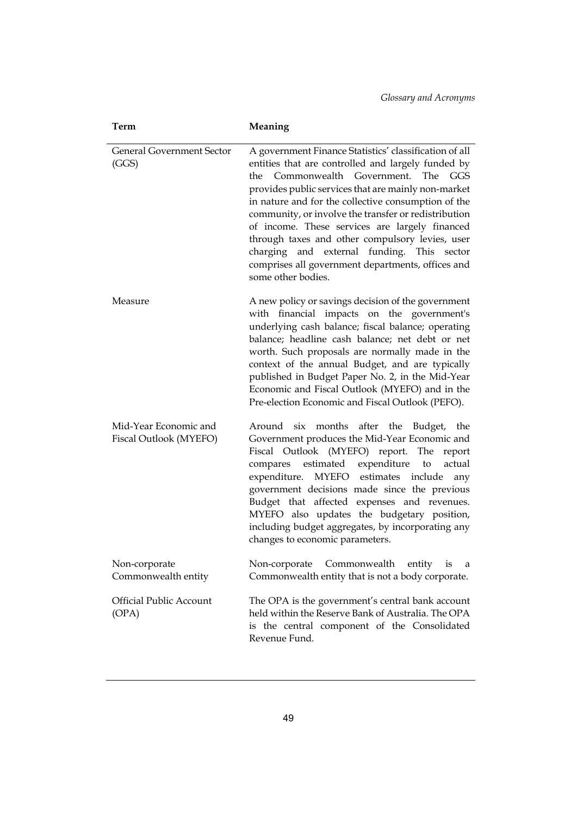| Term                                            | Meaning                                                                                                                                                                                                                                                                                                                                                                                                                                                                                                                                                                  |
|-------------------------------------------------|--------------------------------------------------------------------------------------------------------------------------------------------------------------------------------------------------------------------------------------------------------------------------------------------------------------------------------------------------------------------------------------------------------------------------------------------------------------------------------------------------------------------------------------------------------------------------|
| <b>General Government Sector</b><br>(GGS)       | A government Finance Statistics' classification of all<br>entities that are controlled and largely funded by<br>Commonwealth Government.<br><b>The</b><br>GGS<br>the<br>provides public services that are mainly non-market<br>in nature and for the collective consumption of the<br>community, or involve the transfer or redistribution<br>of income. These services are largely financed<br>through taxes and other compulsory levies, user<br>charging and external funding. This sector<br>comprises all government departments, offices and<br>some other bodies. |
| Measure                                         | A new policy or savings decision of the government<br>with financial impacts on the government's<br>underlying cash balance; fiscal balance; operating<br>balance; headline cash balance; net debt or net<br>worth. Such proposals are normally made in the<br>context of the annual Budget, and are typically<br>published in Budget Paper No. 2, in the Mid-Year<br>Economic and Fiscal Outlook (MYEFO) and in the<br>Pre-election Economic and Fiscal Outlook (PEFO).                                                                                                 |
| Mid-Year Economic and<br>Fiscal Outlook (MYEFO) | Around six months after the Budget, the<br>Government produces the Mid-Year Economic and<br>Fiscal Outlook (MYEFO) report.<br>The<br>report<br>expenditure<br>estimated<br>compares<br>actual<br>to<br>expenditure.<br>MYEFO estimates<br>include<br>any<br>government decisions made since the previous<br>Budget that affected expenses and revenues.<br>MYEFO also updates the budgetary position,<br>including budget aggregates, by incorporating any<br>changes to economic parameters.                                                                            |
| Non-corporate<br>Commonwealth entity            | Commonwealth<br>Non-corporate<br>entity<br>is<br>a<br>Commonwealth entity that is not a body corporate.                                                                                                                                                                                                                                                                                                                                                                                                                                                                  |
| <b>Official Public Account</b><br>(OPA)         | The OPA is the government's central bank account<br>held within the Reserve Bank of Australia. The OPA<br>is the central component of the Consolidated<br>Revenue Fund.                                                                                                                                                                                                                                                                                                                                                                                                  |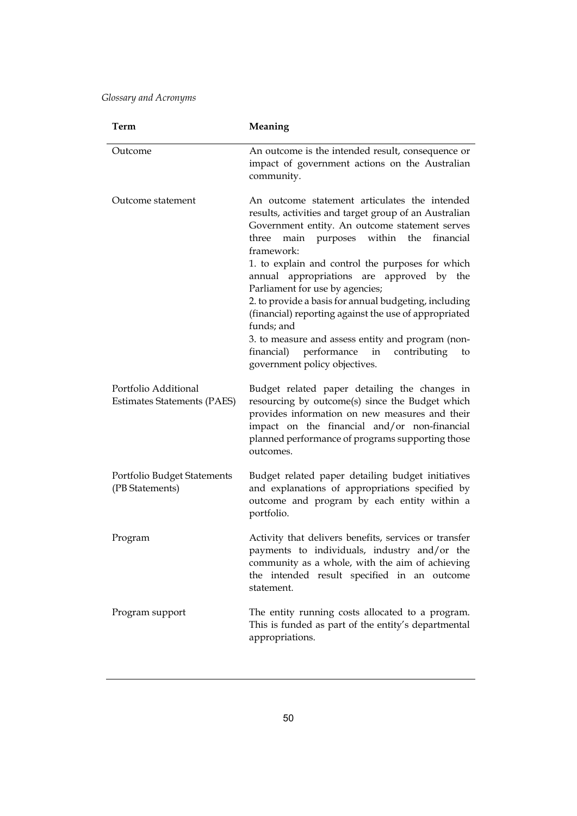| Term                                                       | Meaning                                                                                                                                                                                                                                                                                                                                                                                                                                                                                                                                                                                                                                           |
|------------------------------------------------------------|---------------------------------------------------------------------------------------------------------------------------------------------------------------------------------------------------------------------------------------------------------------------------------------------------------------------------------------------------------------------------------------------------------------------------------------------------------------------------------------------------------------------------------------------------------------------------------------------------------------------------------------------------|
| Outcome                                                    | An outcome is the intended result, consequence or<br>impact of government actions on the Australian<br>community.                                                                                                                                                                                                                                                                                                                                                                                                                                                                                                                                 |
| Outcome statement                                          | An outcome statement articulates the intended<br>results, activities and target group of an Australian<br>Government entity. An outcome statement serves<br>within the<br>main<br>purposes<br>financial<br>three<br>framework:<br>1. to explain and control the purposes for which<br>annual appropriations are approved by the<br>Parliament for use by agencies;<br>2. to provide a basis for annual budgeting, including<br>(financial) reporting against the use of appropriated<br>funds; and<br>3. to measure and assess entity and program (non-<br>performance<br>financial)<br>in<br>contributing<br>to<br>government policy objectives. |
| Portfolio Additional<br><b>Estimates Statements (PAES)</b> | Budget related paper detailing the changes in<br>resourcing by outcome(s) since the Budget which<br>provides information on new measures and their<br>impact on the financial and/or non-financial<br>planned performance of programs supporting those<br>outcomes.                                                                                                                                                                                                                                                                                                                                                                               |
| Portfolio Budget Statements<br>(PB Statements)             | Budget related paper detailing budget initiatives<br>and explanations of appropriations specified by<br>outcome and program by each entity within a<br>portfolio.                                                                                                                                                                                                                                                                                                                                                                                                                                                                                 |
| Program                                                    | Activity that delivers benefits, services or transfer<br>payments to individuals, industry and/or the<br>community as a whole, with the aim of achieving<br>the intended result specified in an outcome<br>statement.                                                                                                                                                                                                                                                                                                                                                                                                                             |
| Program support                                            | The entity running costs allocated to a program.<br>This is funded as part of the entity's departmental<br>appropriations.                                                                                                                                                                                                                                                                                                                                                                                                                                                                                                                        |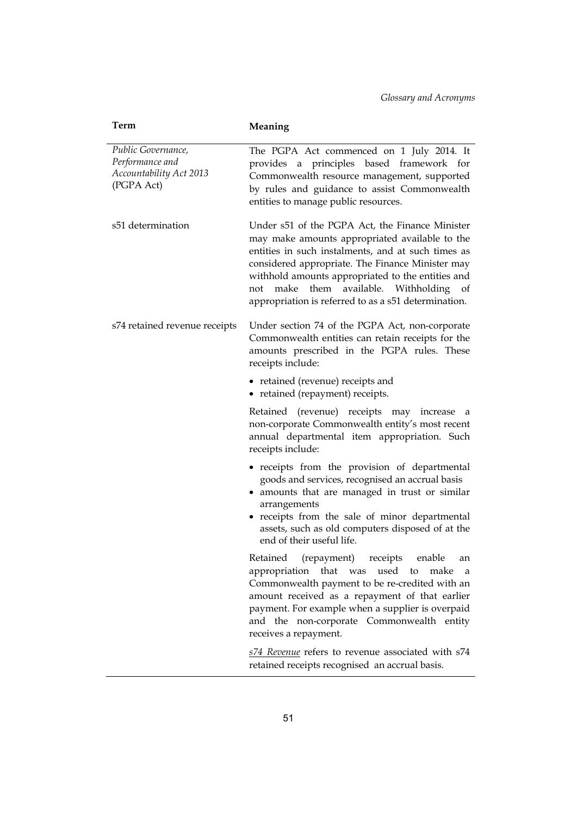| Term                                                                           | Meaning                                                                                                                                                                                                                                                                                                                                                             |
|--------------------------------------------------------------------------------|---------------------------------------------------------------------------------------------------------------------------------------------------------------------------------------------------------------------------------------------------------------------------------------------------------------------------------------------------------------------|
| Public Governance,<br>Performance and<br>Accountability Act 2013<br>(PGPA Act) | The PGPA Act commenced on 1 July 2014. It<br>provides a principles based framework for<br>Commonwealth resource management, supported<br>by rules and guidance to assist Commonwealth<br>entities to manage public resources.                                                                                                                                       |
| s51 determination                                                              | Under s51 of the PGPA Act, the Finance Minister<br>may make amounts appropriated available to the<br>entities in such instalments, and at such times as<br>considered appropriate. The Finance Minister may<br>withhold amounts appropriated to the entities and<br>not make them available. Withholding of<br>appropriation is referred to as a s51 determination. |
| s74 retained revenue receipts                                                  | Under section 74 of the PGPA Act, non-corporate<br>Commonwealth entities can retain receipts for the<br>amounts prescribed in the PGPA rules. These<br>receipts include:                                                                                                                                                                                            |
|                                                                                | • retained (revenue) receipts and<br>• retained (repayment) receipts.                                                                                                                                                                                                                                                                                               |
|                                                                                | Retained (revenue) receipts may increase<br>a<br>non-corporate Commonwealth entity's most recent<br>annual departmental item appropriation. Such<br>receipts include:                                                                                                                                                                                               |
|                                                                                | • receipts from the provision of departmental<br>goods and services, recognised an accrual basis<br>• amounts that are managed in trust or similar<br>arrangements<br>• receipts from the sale of minor departmental<br>assets, such as old computers disposed of at the<br>end of their useful life.                                                               |
|                                                                                | (repayment)<br>receipts<br>enable<br>Retained<br>an<br>that<br>appropriation<br>used<br>make<br>was<br>to<br>a<br>Commonwealth payment to be re-credited with an<br>amount received as a repayment of that earlier<br>payment. For example when a supplier is overpaid<br>and the non-corporate Commonwealth entity<br>receives a repayment.                        |
|                                                                                | s74 Revenue refers to revenue associated with s74<br>retained receipts recognised an accrual basis.                                                                                                                                                                                                                                                                 |